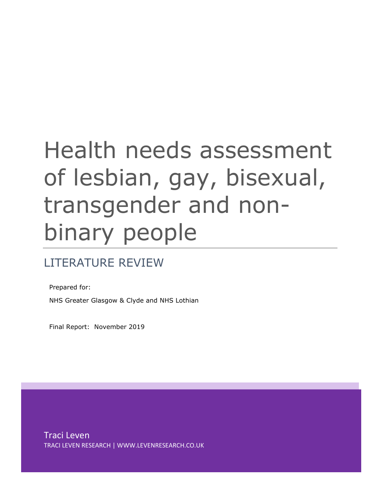# Health needs assessment of lesbian, gay, bisexual, transgender and nonbinary people

# LITERATURE REVIEW

Prepared for: NHS Greater Glasgow & Clyde and NHS Lothian

Final Report: November 2019

Traci Leven TRACI LEVEN RESEARCH | WWW.LEVENRESEARCH.CO.UK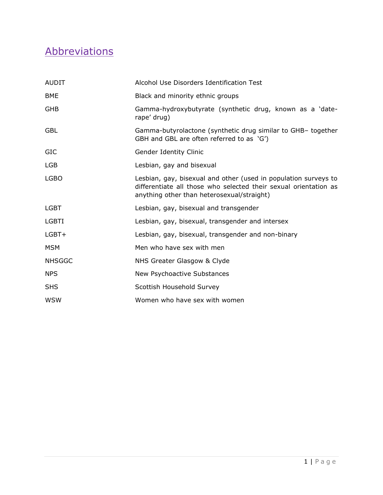# <span id="page-1-0"></span>**Abbreviations**

| Alcohol Use Disorders Identification Test                                                                                                                                         |  |  |  |
|-----------------------------------------------------------------------------------------------------------------------------------------------------------------------------------|--|--|--|
| Black and minority ethnic groups                                                                                                                                                  |  |  |  |
| Gamma-hydroxybutyrate (synthetic drug, known as a 'date-<br>rape' drug)                                                                                                           |  |  |  |
| Gamma-butyrolactone (synthetic drug similar to GHB- together<br>GBH and GBL are often referred to as 'G')                                                                         |  |  |  |
| Gender Identity Clinic                                                                                                                                                            |  |  |  |
| Lesbian, gay and bisexual                                                                                                                                                         |  |  |  |
| Lesbian, gay, bisexual and other (used in population surveys to<br>differentiate all those who selected their sexual orientation as<br>anything other than heterosexual/straight) |  |  |  |
| Lesbian, gay, bisexual and transgender                                                                                                                                            |  |  |  |
| Lesbian, gay, bisexual, transgender and intersex                                                                                                                                  |  |  |  |
| Lesbian, gay, bisexual, transgender and non-binary                                                                                                                                |  |  |  |
| Men who have sex with men                                                                                                                                                         |  |  |  |
| NHS Greater Glasgow & Clyde                                                                                                                                                       |  |  |  |
| New Psychoactive Substances                                                                                                                                                       |  |  |  |
| Scottish Household Survey                                                                                                                                                         |  |  |  |
| Women who have sex with women                                                                                                                                                     |  |  |  |
|                                                                                                                                                                                   |  |  |  |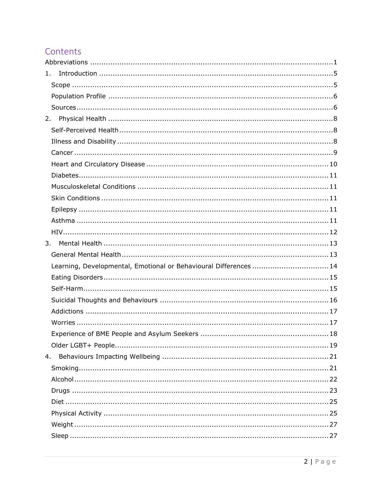# Contents

| 1.                                                                |
|-------------------------------------------------------------------|
|                                                                   |
|                                                                   |
|                                                                   |
| 2.                                                                |
|                                                                   |
|                                                                   |
|                                                                   |
|                                                                   |
|                                                                   |
|                                                                   |
|                                                                   |
|                                                                   |
|                                                                   |
|                                                                   |
| 3.                                                                |
|                                                                   |
| Learning, Developmental, Emotional or Behavioural Differences  14 |
|                                                                   |
|                                                                   |
|                                                                   |
|                                                                   |
|                                                                   |
|                                                                   |
|                                                                   |
| 4.                                                                |
|                                                                   |
|                                                                   |
|                                                                   |
|                                                                   |
|                                                                   |
|                                                                   |
|                                                                   |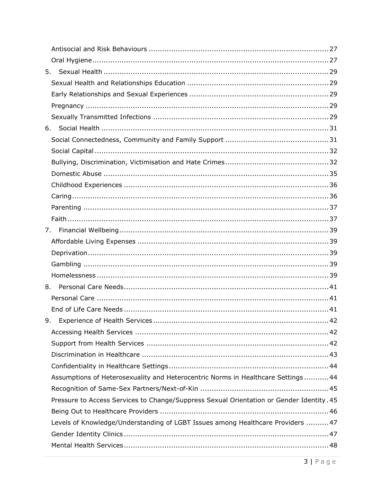|    | 5.                                                                                       |
|----|------------------------------------------------------------------------------------------|
|    |                                                                                          |
|    |                                                                                          |
|    |                                                                                          |
|    |                                                                                          |
|    |                                                                                          |
|    |                                                                                          |
|    |                                                                                          |
|    |                                                                                          |
|    |                                                                                          |
|    |                                                                                          |
|    |                                                                                          |
|    |                                                                                          |
|    |                                                                                          |
| 7. |                                                                                          |
|    |                                                                                          |
|    |                                                                                          |
|    |                                                                                          |
|    |                                                                                          |
|    | 8.                                                                                       |
|    |                                                                                          |
|    |                                                                                          |
|    |                                                                                          |
|    |                                                                                          |
|    |                                                                                          |
|    |                                                                                          |
|    |                                                                                          |
|    | Assumptions of Heterosexuality and Heterocentric Norms in Healthcare Settings 44         |
|    |                                                                                          |
|    | Pressure to Access Services to Change/Suppress Sexual Orientation or Gender Identity. 45 |
|    |                                                                                          |
|    | Levels of Knowledge/Understanding of LGBT Issues among Healthcare Providers  47          |
|    |                                                                                          |
|    |                                                                                          |
|    |                                                                                          |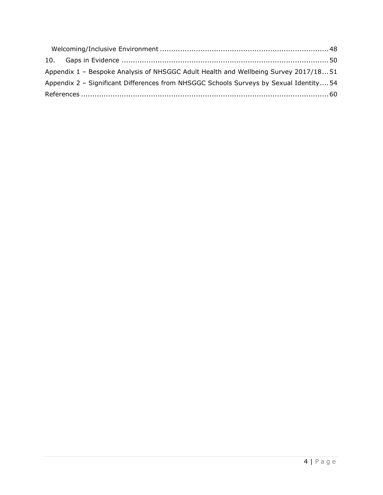| Appendix 1 - Bespoke Analysis of NHSGGC Adult Health and Wellbeing Survey 2017/1851    |  |
|----------------------------------------------------------------------------------------|--|
| Appendix 2 - Significant Differences from NHSGGC Schools Surveys by Sexual Identity 54 |  |
|                                                                                        |  |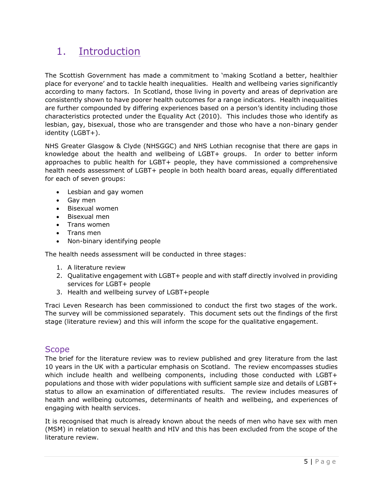# <span id="page-5-0"></span>1. Introduction

The Scottish Government has made a commitment to 'making Scotland a better, healthier place for everyone' and to tackle health inequalities. Health and wellbeing varies significantly according to many factors. In Scotland, those living in poverty and areas of deprivation are consistently shown to have poorer health outcomes for a range indicators. Health inequalities are further compounded by differing experiences based on a person's identity including those characteristics protected under the Equality Act (2010). This includes those who identify as lesbian, gay, bisexual, those who are transgender and those who have a non-binary gender identity (LGBT+).

NHS Greater Glasgow & Clyde (NHSGGC) and NHS Lothian recognise that there are gaps in knowledge about the health and wellbeing of LGBT+ groups. In order to better inform approaches to public health for LGBT+ people, they have commissioned a comprehensive health needs assessment of LGBT+ people in both health board areas, equally differentiated for each of seven groups:

- Lesbian and gay women
- Gay men
- Bisexual women
- Bisexual men
- Trans women
- Trans men
- Non-binary identifying people

The health needs assessment will be conducted in three stages:

- 1. A literature review
- 2. Qualitative engagement with LGBT+ people and with staff directly involved in providing services for LGBT+ people
- 3. Health and wellbeing survey of LGBT+people

Traci Leven Research has been commissioned to conduct the first two stages of the work. The survey will be commissioned separately. This document sets out the findings of the first stage (literature review) and this will inform the scope for the qualitative engagement.

### <span id="page-5-1"></span>Scope

The brief for the literature review was to review published and grey literature from the last 10 years in the UK with a particular emphasis on Scotland. The review encompasses studies which include health and wellbeing components, including those conducted with LGBT+ populations and those with wider populations with sufficient sample size and details of LGBT+ status to allow an examination of differentiated results. The review includes measures of health and wellbeing outcomes, determinants of health and wellbeing, and experiences of engaging with health services.

It is recognised that much is already known about the needs of men who have sex with men (MSM) in relation to sexual health and HIV and this has been excluded from the scope of the literature review.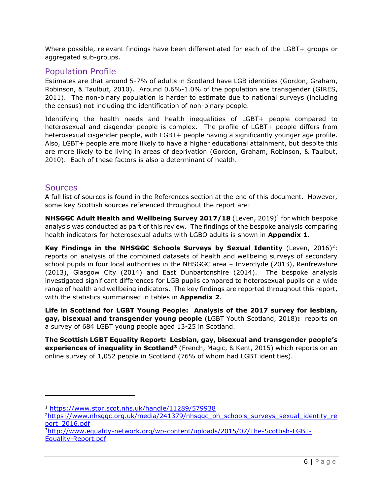Where possible, relevant findings have been differentiated for each of the LGBT+ groups or aggregated sub-groups.

### <span id="page-6-0"></span>Population Profile

Estimates are that around 5-7% of adults in Scotland have LGB identities (Gordon, Graham, Robinson, & Taulbut, 2010). Around 0.6%-1.0% of the population are transgender (GIRES, 2011). The non-binary population is harder to estimate due to national surveys (including the census) not including the identification of non-binary people.

Identifying the health needs and health inequalities of LGBT+ people compared to heterosexual and cisgender people is complex. The profile of LGBT+ people differs from heterosexual cisgender people, with LGBT+ people having a significantly younger age profile. Also, LGBT+ people are more likely to have a higher educational attainment, but despite this are more likely to be living in areas of deprivation (Gordon, Graham, Robinson, & Taulbut, 2010). Each of these factors is also a determinant of health.

### <span id="page-6-1"></span>**Sources**

A full list of sources is found in the References section at the end of this document. However, some key Scottish sources referenced throughout the report are:

**NHSGGC Adult Health and Wellbeing Survey 2017/18** (Leven, 2019)<sup>1</sup> for which bespoke analysis was conducted as part of this review. The findings of the bespoke analysis comparing health indicators for heterosexual adults with LGBO adults is shown in **Appendix 1**.

**Key Findings in the NHSGGC Schools Surveys by Sexual Identity** (Leven, 2016)<sup>2</sup>: reports on analysis of the combined datasets of health and wellbeing surveys of secondary school pupils in four local authorities in the NHSGGC area – Inverclyde (2013), Renfrewshire (2013), Glasgow City (2014) and East Dunbartonshire (2014). The bespoke analysis investigated significant differences for LGB pupils compared to heterosexual pupils on a wide range of health and wellbeing indicators. The key findings are reported throughout this report, with the statistics summarised in tables in **Appendix 2**.

**Life in Scotland for LGBT Young People: Analysis of the 2017 survey for lesbian, gay, bisexual and transgender young people** (LGBT Youth Scotland, 2018)**:** reports on a survey of 684 LGBT young people aged 13-25 in Scotland.

**The Scottish LGBT Equality Report: Lesbian, gay, bisexual and transgender people's experiences of inequality in Scotland<sup>3</sup>** (French, Magic, & Kent, 2015) which reports on an online survey of 1,052 people in Scotland (76% of whom had LGBT identities).

<sup>1</sup> <https://www.stor.scot.nhs.uk/handle/11289/579938>

<sup>&</sup>lt;sup>2</sup>[https://www.nhsggc.org.uk/media/241379/nhsggc\\_ph\\_schools\\_surveys\\_sexual\\_identity\\_re](https://www.nhsggc.org.uk/media/241379/nhsggc_ph_schools_surveys_sexual_identity_report_2016.pdf) [port\\_2016.pdf](https://www.nhsggc.org.uk/media/241379/nhsggc_ph_schools_surveys_sexual_identity_report_2016.pdf)

<sup>3</sup>[http://www.equality-network.org/wp-content/uploads/2015/07/The-Scottish-LGBT-](http://www.equality-network.org/wp-content/uploads/2015/07/The-Scottish-LGBT-Equality-Report.pdf)[Equality-Report.pdf](http://www.equality-network.org/wp-content/uploads/2015/07/The-Scottish-LGBT-Equality-Report.pdf)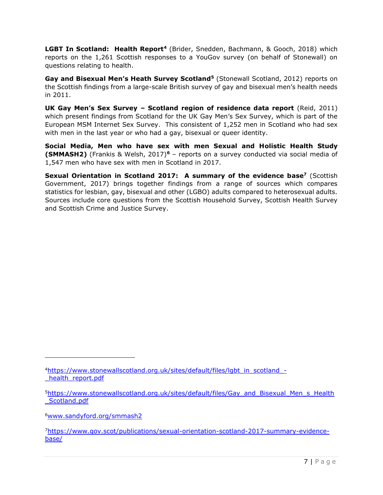LGBT In Scotland: Health Report<sup>4</sup> (Brider, Snedden, Bachmann, & Gooch, 2018) which reports on the 1,261 Scottish responses to a YouGov survey (on behalf of Stonewall) on questions relating to health.

**Gay and Bisexual Men's Heath Survey Scotland<sup>5</sup>** (Stonewall Scotland, 2012) reports on the Scottish findings from a large-scale British survey of gay and bisexual men's health needs in 2011.

**UK Gay Men's Sex Survey – Scotland region of residence data report** (Reid, 2011) which present findings from Scotland for the UK Gay Men's Sex Survey, which is part of the European MSM Internet Sex Survey. This consistent of 1,252 men in Scotland who had sex with men in the last year or who had a gay, bisexual or queer identity.

**Social Media, Men who have sex with men Sexual and Holistic Health Study (SMMASH2)** (Frankis & Welsh, 2017)**<sup>6</sup>** – reports on a survey conducted via social media of 1,547 men who have sex with men in Scotland in 2017.

**Sexual Orientation in Scotland 2017: A summary of the evidence base<sup>7</sup>** (Scottish Government, 2017) brings together findings from a range of sources which compares statistics for lesbian, gay, bisexual and other (LGBO) adults compared to heterosexual adults. Sources include core questions from the Scottish Household Survey, Scottish Health Survey and Scottish Crime and Justice Survey.

<sup>4</sup>[https://www.stonewallscotland.org.uk/sites/default/files/lgbt\\_in\\_scotland\\_](https://www.stonewallscotland.org.uk/sites/default/files/lgbt_in_scotland_-_health_report.pdf) health report.pdf

<sup>&</sup>lt;sup>5</sup>[https://www.stonewallscotland.org.uk/sites/default/files/Gay\\_and\\_Bisexual\\_Men\\_s\\_Health](https://www.stonewallscotland.org.uk/sites/default/files/Gay_and_Bisexual_Men_s_Health_Scotland.pdf) [\\_Scotland.pdf](https://www.stonewallscotland.org.uk/sites/default/files/Gay_and_Bisexual_Men_s_Health_Scotland.pdf)

<sup>6</sup>[www.sandyford.org/smmash2](http://www.sandyford.org/smmash2)

<sup>7</sup>[https://www.gov.scot/publications/sexual-orientation-scotland-2017-summary-evidence](https://www.gov.scot/publications/sexual-orientation-scotland-2017-summary-evidence-base/)[base/](https://www.gov.scot/publications/sexual-orientation-scotland-2017-summary-evidence-base/)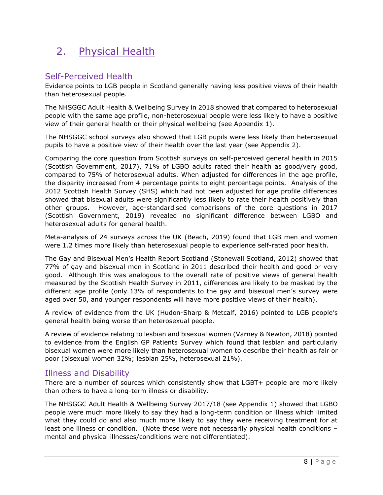# <span id="page-8-0"></span>2. Physical Health

# <span id="page-8-1"></span>Self-Perceived Health

Evidence points to LGB people in Scotland generally having less positive views of their health than heterosexual people.

The NHSGGC Adult Health & Wellbeing Survey in 2018 showed that compared to heterosexual people with the same age profile, non-heterosexual people were less likely to have a positive view of their general health or their physical wellbeing (see Appendix 1).

The NHSGGC school surveys also showed that LGB pupils were less likely than heterosexual pupils to have a positive view of their health over the last year (see Appendix 2).

Comparing the core question from Scottish surveys on self-perceived general health in 2015 (Scottish Government, 2017), 71% of LGBO adults rated their health as good/very good, compared to 75% of heterosexual adults. When adjusted for differences in the age profile, the disparity increased from 4 percentage points to eight percentage points. Analysis of the 2012 Scottish Health Survey (SHS) which had not been adjusted for age profile differences showed that bisexual adults were significantly less likely to rate their health positively than other groups. However, age-standardised comparisons of the core questions in 2017 (Scottish Government, 2019) revealed no significant difference between LGBO and heterosexual adults for general health.

Meta-analysis of 24 surveys across the UK (Beach, 2019) found that LGB men and women were 1.2 times more likely than heterosexual people to experience self-rated poor health.

The Gay and Bisexual Men's Health Report Scotland (Stonewall Scotland, 2012) showed that 77% of gay and bisexual men in Scotland in 2011 described their health and good or very good. Although this was analogous to the overall rate of positive views of general health measured by the Scottish Health Survey in 2011, differences are likely to be masked by the different age profile (only 13% of respondents to the gay and bisexual men's survey were aged over 50, and younger respondents will have more positive views of their health).

A review of evidence from the UK (Hudon-Sharp & Metcalf, 2016) pointed to LGB people's general health being worse than heterosexual people.

A review of evidence relating to lesbian and bisexual women (Varney & Newton, 2018) pointed to evidence from the English GP Patients Survey which found that lesbian and particularly bisexual women were more likely than heterosexual women to describe their health as fair or poor (bisexual women 32%; lesbian 25%, heterosexual 21%).

# <span id="page-8-2"></span>Illness and Disability

There are a number of sources which consistently show that LGBT+ people are more likely than others to have a long-term illness or disability.

The NHSGGC Adult Health & Wellbeing Survey 2017/18 (see Appendix 1) showed that LGBO people were much more likely to say they had a long-term condition or illness which limited what they could do and also much more likely to say they were receiving treatment for at least one illness or condition. (Note these were not necessarily physical health conditions – mental and physical illnesses/conditions were not differentiated).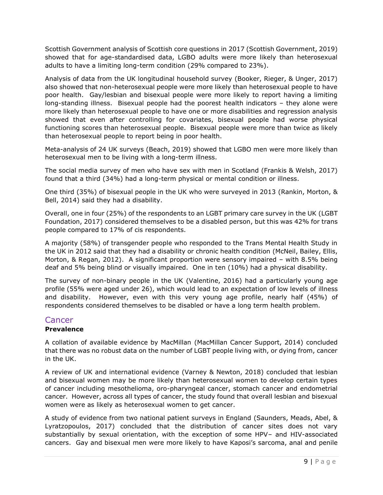Scottish Government analysis of Scottish core questions in 2017 (Scottish Government, 2019) showed that for age-standardised data, LGBO adults were more likely than heterosexual adults to have a limiting long-term condition (29% compared to 23%).

Analysis of data from the UK longitudinal household survey (Booker, Rieger, & Unger, 2017) also showed that non-heterosexual people were more likely than heterosexual people to have poor health. Gay/lesbian and bisexual people were more likely to report having a limiting long-standing illness. Bisexual people had the poorest health indicators – they alone were more likely than heterosexual people to have one or more disabilities and regression analysis showed that even after controlling for covariates, bisexual people had worse physical functioning scores than heterosexual people. Bisexual people were more than twice as likely than heterosexual people to report being in poor health.

Meta-analysis of 24 UK surveys (Beach, 2019) showed that LGBO men were more likely than heterosexual men to be living with a long-term illness.

The social media survey of men who have sex with men in Scotland (Frankis & Welsh, 2017) found that a third (34%) had a long-term physical or mental condition or illness.

One third (35%) of bisexual people in the UK who were surveyed in 2013 (Rankin, Morton, & Bell, 2014) said they had a disability.

Overall, one in four (25%) of the respondents to an LGBT primary care survey in the UK (LGBT Foundation, 2017) considered themselves to be a disabled person, but this was 42% for trans people compared to 17% of cis respondents.

A majority (58%) of transgender people who responded to the Trans Mental Health Study in the UK in 2012 said that they had a disability or chronic health condition (McNeil, Bailey, Ellis, Morton, & Regan, 2012). A significant proportion were sensory impaired – with 8.5% being deaf and 5% being blind or visually impaired. One in ten (10%) had a physical disability.

The survey of non-binary people in the UK (Valentine, 2016) had a particularly young age profile (55% were aged under 26), which would lead to an expectation of low levels of illness and disability. However, even with this very young age profile, nearly half (45%) of respondents considered themselves to be disabled or have a long term health problem.

### <span id="page-9-0"></span>Cancer

#### **Prevalence**

A collation of available evidence by MacMillan (MacMillan Cancer Support, 2014) concluded that there was no robust data on the number of LGBT people living with, or dying from, cancer in the UK.

A review of UK and international evidence (Varney & Newton, 2018) concluded that lesbian and bisexual women may be more likely than heterosexual women to develop certain types of cancer including mesothelioma, oro-pharyngeal cancer, stomach cancer and endometrial cancer. However, across all types of cancer, the study found that overall lesbian and bisexual women were as likely as heterosexual women to get cancer.

A study of evidence from two national patient surveys in England (Saunders, Meads, Abel, & Lyratzopoulos, 2017) concluded that the distribution of cancer sites does not vary substantially by sexual orientation, with the exception of some HPV– and HIV-associated cancers. Gay and bisexual men were more likely to have Kaposi's sarcoma, anal and penile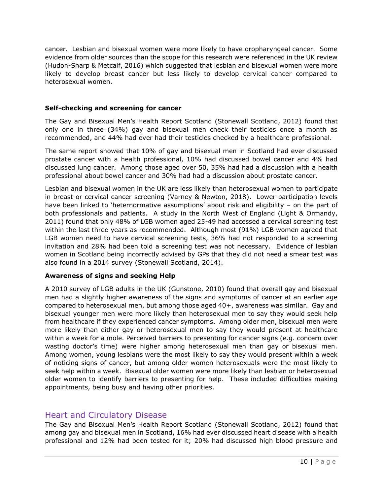cancer. Lesbian and bisexual women were more likely to have oropharyngeal cancer. Some evidence from older sources than the scope for this research were referenced in the UK review (Hudon-Sharp & Metcalf, 2016) which suggested that lesbian and bisexual women were more likely to develop breast cancer but less likely to develop cervical cancer compared to heterosexual women.

#### **Self-checking and screening for cancer**

The Gay and Bisexual Men's Health Report Scotland (Stonewall Scotland, 2012) found that only one in three (34%) gay and bisexual men check their testicles once a month as recommended, and 44% had ever had their testicles checked by a healthcare professional.

The same report showed that 10% of gay and bisexual men in Scotland had ever discussed prostate cancer with a health professional, 10% had discussed bowel cancer and 4% had discussed lung cancer. Among those aged over 50, 35% had had a discussion with a health professional about bowel cancer and 30% had had a discussion about prostate cancer.

Lesbian and bisexual women in the UK are less likely than heterosexual women to participate in breast or cervical cancer screening (Varney & Newton, 2018). Lower participation levels have been linked to 'heternormative assumptions' about risk and eligibility – on the part of both professionals and patients. A study in the North West of England (Light & Ormandy, 2011) found that only 48% of LGB women aged 25-49 had accessed a cervical screening test within the last three years as recommended. Although most (91%) LGB women agreed that LGB women need to have cervical screening tests, 36% had not responded to a screening invitation and 28% had been told a screening test was not necessary. Evidence of lesbian women in Scotland being incorrectly advised by GPs that they did not need a smear test was also found in a 2014 survey (Stonewall Scotland, 2014).

#### **Awareness of signs and seeking Help**

A 2010 survey of LGB adults in the UK (Gunstone, 2010) found that overall gay and bisexual men had a slightly higher awareness of the signs and symptoms of cancer at an earlier age compared to heterosexual men, but among those aged 40+, awareness was similar. Gay and bisexual younger men were more likely than heterosexual men to say they would seek help from healthcare if they experienced cancer symptoms. Among older men, bisexual men were more likely than either gay or heterosexual men to say they would present at healthcare within a week for a mole. Perceived barriers to presenting for cancer signs (e.g. concern over wasting doctor's time) were higher among heterosexual men than gay or bisexual men. Among women, young lesbians were the most likely to say they would present within a week of noticing signs of cancer, but among older women heterosexuals were the most likely to seek help within a week. Bisexual older women were more likely than lesbian or heterosexual older women to identify barriers to presenting for help. These included difficulties making appointments, being busy and having other priorities.

### <span id="page-10-0"></span>Heart and Circulatory Disease

The Gay and Bisexual Men's Health Report Scotland (Stonewall Scotland, 2012) found that among gay and bisexual men in Scotland, 16% had ever discussed heart disease with a health professional and 12% had been tested for it; 20% had discussed high blood pressure and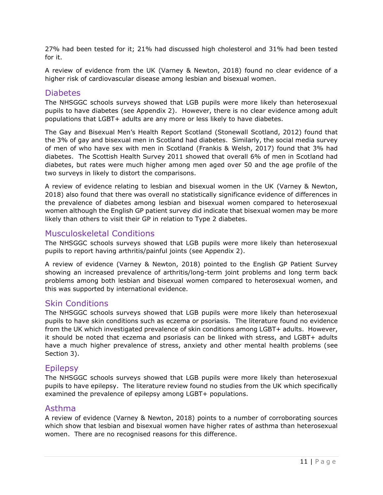27% had been tested for it; 21% had discussed high cholesterol and 31% had been tested for it.

A review of evidence from the UK (Varney & Newton, 2018) found no clear evidence of a higher risk of cardiovascular disease among lesbian and bisexual women.

### <span id="page-11-0"></span>**Diabetes**

The NHSGGC schools surveys showed that LGB pupils were more likely than heterosexual pupils to have diabetes (see Appendix 2). However, there is no clear evidence among adult populations that LGBT+ adults are any more or less likely to have diabetes.

The Gay and Bisexual Men's Health Report Scotland (Stonewall Scotland, 2012) found that the 3% of gay and bisexual men in Scotland had diabetes. Similarly, the social media survey of men of who have sex with men in Scotland (Frankis & Welsh, 2017) found that 3% had diabetes. The Scottish Health Survey 2011 showed that overall 6% of men in Scotland had diabetes, but rates were much higher among men aged over 50 and the age profile of the two surveys in likely to distort the comparisons.

A review of evidence relating to lesbian and bisexual women in the UK (Varney & Newton, 2018) also found that there was overall no statistically significance evidence of differences in the prevalence of diabetes among lesbian and bisexual women compared to heterosexual women although the English GP patient survey did indicate that bisexual women may be more likely than others to visit their GP in relation to Type 2 diabetes.

### <span id="page-11-1"></span>Musculoskeletal Conditions

The NHSGGC schools surveys showed that LGB pupils were more likely than heterosexual pupils to report having arthritis/painful joints (see Appendix 2).

A review of evidence (Varney & Newton, 2018) pointed to the English GP Patient Survey showing an increased prevalence of arthritis/long-term joint problems and long term back problems among both lesbian and bisexual women compared to heterosexual women, and this was supported by international evidence.

### <span id="page-11-2"></span>Skin Conditions

The NHSGGC schools surveys showed that LGB pupils were more likely than heterosexual pupils to have skin conditions such as eczema or psoriasis. The literature found no evidence from the UK which investigated prevalence of skin conditions among LGBT+ adults. However, it should be noted that eczema and psoriasis can be linked with stress, and LGBT+ adults have a much higher prevalence of stress, anxiety and other mental health problems (see Section 3).

### <span id="page-11-3"></span>**Epilepsy**

The NHSGGC schools surveys showed that LGB pupils were more likely than heterosexual pupils to have epilepsy. The literature review found no studies from the UK which specifically examined the prevalence of epilepsy among LGBT+ populations.

### <span id="page-11-4"></span>Asthma

A review of evidence (Varney & Newton, 2018) points to a number of corroborating sources which show that lesbian and bisexual women have higher rates of asthma than heterosexual women. There are no recognised reasons for this difference.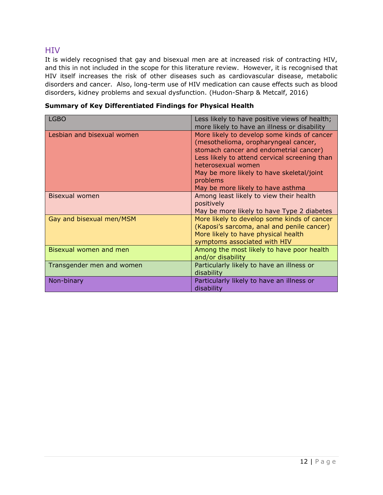### <span id="page-12-0"></span>**HIV**

It is widely recognised that gay and bisexual men are at increased risk of contracting HIV, and this in not included in the scope for this literature review. However, it is recognised that HIV itself increases the risk of other diseases such as cardiovascular disease, metabolic disorders and cancer. Also, long-term use of HIV medication can cause effects such as blood disorders, kidney problems and sexual dysfunction. (Hudon-Sharp & Metcalf, 2016)

**Summary of Key Differentiated Findings for Physical Health**

| LGBO                       | Less likely to have positive views of health;<br>more likely to have an illness or disability                                                                                                                                                                                                      |
|----------------------------|----------------------------------------------------------------------------------------------------------------------------------------------------------------------------------------------------------------------------------------------------------------------------------------------------|
| Lesbian and bisexual women | More likely to develop some kinds of cancer<br>(mesothelioma, oropharyngeal cancer,<br>stomach cancer and endometrial cancer)<br>Less likely to attend cervical screening than<br>heterosexual women<br>May be more likely to have skeletal/joint<br>problems<br>May be more likely to have asthma |
| Bisexual women             | Among least likely to view their health<br>positively<br>May be more likely to have Type 2 diabetes                                                                                                                                                                                                |
| Gay and bisexual men/MSM   | More likely to develop some kinds of cancer<br>(Kaposi's sarcoma, anal and penile cancer)<br>More likely to have physical health<br>symptoms associated with HIV                                                                                                                                   |
| Bisexual women and men     | Among the most likely to have poor health<br>and/or disability                                                                                                                                                                                                                                     |
| Transgender men and women  | Particularly likely to have an illness or<br>disability                                                                                                                                                                                                                                            |
| Non-binary                 | Particularly likely to have an illness or<br>disability                                                                                                                                                                                                                                            |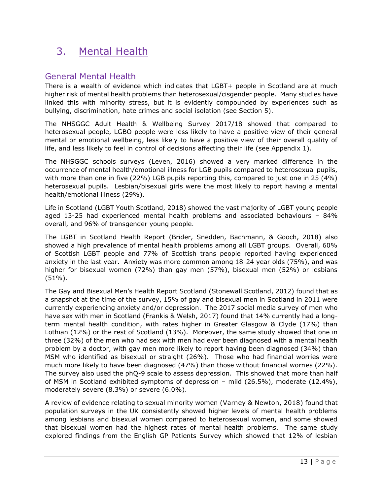# <span id="page-13-0"></span>3. Mental Health

# <span id="page-13-1"></span>General Mental Health

There is a wealth of evidence which indicates that LGBT+ people in Scotland are at much higher risk of mental health problems than heterosexual/cisgender people. Many studies have linked this with minority stress, but it is evidently compounded by experiences such as bullying, discrimination, hate crimes and social isolation (see Section 5).

The NHSGGC Adult Health & Wellbeing Survey 2017/18 showed that compared to heterosexual people, LGBO people were less likely to have a positive view of their general mental or emotional wellbeing, less likely to have a positive view of their overall quality of life, and less likely to feel in control of decisions affecting their life (see Appendix 1).

The NHSGGC schools surveys (Leven, 2016) showed a very marked difference in the occurrence of mental health/emotional illness for LGB pupils compared to heterosexual pupils, with more than one in five (22%) LGB pupils reporting this, compared to just one in 25 (4%) heterosexual pupils. Lesbian/bisexual girls were the most likely to report having a mental health/emotional illness (29%).

Life in Scotland (LGBT Youth Scotland, 2018) showed the vast majority of LGBT young people aged 13-25 had experienced mental health problems and associated behaviours – 84% overall, and 96% of transgender young people.

The LGBT in Scotland Health Report (Brider, Snedden, Bachmann, & Gooch, 2018) also showed a high prevalence of mental health problems among all LGBT groups. Overall, 60% of Scottish LGBT people and 77% of Scottish trans people reported having experienced anxiety in the last year. Anxiety was more common among 18-24 year olds (75%), and was higher for bisexual women (72%) than gay men (57%), bisexual men (52%) or lesbians (51%).

The Gay and Bisexual Men's Health Report Scotland (Stonewall Scotland, 2012) found that as a snapshot at the time of the survey, 15% of gay and bisexual men in Scotland in 2011 were currently experiencing anxiety and/or depression. The 2017 social media survey of men who have sex with men in Scotland (Frankis & Welsh, 2017) found that 14% currently had a longterm mental health condition, with rates higher in Greater Glasgow & Clyde (17%) than Lothian (12%) or the rest of Scotland (13%). Moreover, the same study showed that one in three (32%) of the men who had sex with men had ever been diagnosed with a mental health problem by a doctor, with gay men more likely to report having been diagnosed (34%) than MSM who identified as bisexual or straight (26%). Those who had financial worries were much more likely to have been diagnosed (47%) than those without financial worries (22%). The survey also used the phQ-9 scale to assess depression. This showed that more than half of MSM in Scotland exhibited symptoms of depression – mild (26.5%), moderate (12.4%), moderately severe (8.3%) or severe (6.0%).

A review of evidence relating to sexual minority women (Varney & Newton, 2018) found that population surveys in the UK consistently showed higher levels of mental health problems among lesbians and bisexual women compared to heterosexual women, and some showed that bisexual women had the highest rates of mental health problems. The same study explored findings from the English GP Patients Survey which showed that 12% of lesbian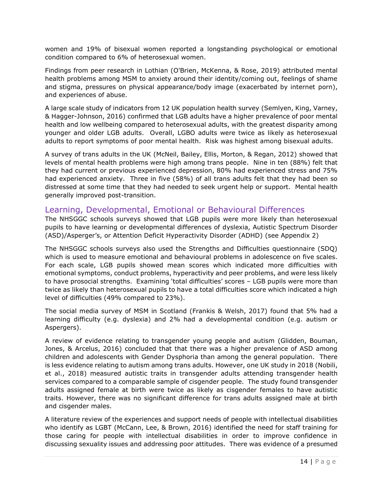women and 19% of bisexual women reported a longstanding psychological or emotional condition compared to 6% of heterosexual women.

Findings from peer research in Lothian (O'Brien, McKenna, & Rose, 2019) attributed mental health problems among MSM to anxiety around their identity/coming out, feelings of shame and stigma, pressures on physical appearance/body image (exacerbated by internet porn), and experiences of abuse.

A large scale study of indicators from 12 UK population health survey (Semlyen, King, Varney, & Hagger-Johnson, 2016) confirmed that LGB adults have a higher prevalence of poor mental health and low wellbeing compared to heterosexual adults, with the greatest disparity among younger and older LGB adults. Overall, LGBO adults were twice as likely as heterosexual adults to report symptoms of poor mental health. Risk was highest among bisexual adults.

A survey of trans adults in the UK (McNeil, Bailey, Ellis, Morton, & Regan, 2012) showed that levels of mental health problems were high among trans people. Nine in ten (88%) felt that they had current or previous experienced depression, 80% had experienced stress and 75% had experienced anxiety. Three in five (58%) of all trans adults felt that they had been so distressed at some time that they had needed to seek urgent help or support. Mental health generally improved post-transition.

### <span id="page-14-0"></span>Learning, Developmental, Emotional or Behavioural Differences

The NHSGGC schools surveys showed that LGB pupils were more likely than heterosexual pupils to have learning or developmental differences of dyslexia, Autistic Spectrum Disorder (ASD)/Asperger's, or Attention Deficit Hyperactivity Disorder (ADHD) (see Appendix 2)

The NHSGGC schools surveys also used the Strengths and Difficulties questionnaire (SDQ) which is used to measure emotional and behavioural problems in adolescence on five scales. For each scale, LGB pupils showed mean scores which indicated more difficulties with emotional symptoms, conduct problems, hyperactivity and peer problems, and were less likely to have prosocial strengths. Examining 'total difficulties' scores – LGB pupils were more than twice as likely than heterosexual pupils to have a total difficulties score which indicated a high level of difficulties (49% compared to 23%).

The social media survey of MSM in Scotland (Frankis & Welsh, 2017) found that 5% had a learning difficulty (e.g. dyslexia) and 2% had a developmental condition (e.g. autism or Aspergers).

A review of evidence relating to transgender young people and autism (Glidden, Bouman, Jones, & Arcelus, 2016) concluded that that there was a higher prevalence of ASD among children and adolescents with Gender Dysphoria than among the general population. There is less evidence relating to autism among trans adults. However, one UK study in 2018 (Nobili, et al., 2018) measured autistic traits in transgender adults attending transgender health services compared to a comparable sample of cisgender people. The study found transgender adults assigned female at birth were twice as likely as cisgender females to have autistic traits. However, there was no significant difference for trans adults assigned male at birth and cisgender males.

A literature review of the experiences and support needs of people with intellectual disabilities who identify as LGBT (McCann, Lee, & Brown, 2016) identified the need for staff training for those caring for people with intellectual disabilities in order to improve confidence in discussing sexuality issues and addressing poor attitudes. There was evidence of a presumed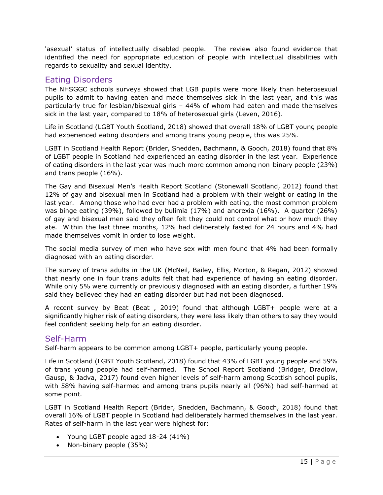'asexual' status of intellectually disabled people. The review also found evidence that identified the need for appropriate education of people with intellectual disabilities with regards to sexuality and sexual identity.

### <span id="page-15-0"></span>Eating Disorders

The NHSGGC schools surveys showed that LGB pupils were more likely than heterosexual pupils to admit to having eaten and made themselves sick in the last year, and this was particularly true for lesbian/bisexual girls – 44% of whom had eaten and made themselves sick in the last year, compared to 18% of heterosexual girls (Leven, 2016).

Life in Scotland (LGBT Youth Scotland, 2018) showed that overall 18% of LGBT young people had experienced eating disorders and among trans young people, this was 25%.

LGBT in Scotland Health Report (Brider, Snedden, Bachmann, & Gooch, 2018) found that 8% of LGBT people in Scotland had experienced an eating disorder in the last year. Experience of eating disorders in the last year was much more common among non-binary people (23%) and trans people (16%).

The Gay and Bisexual Men's Health Report Scotland (Stonewall Scotland, 2012) found that 12% of gay and bisexual men in Scotland had a problem with their weight or eating in the last year. Among those who had ever had a problem with eating, the most common problem was binge eating (39%), followed by bulimia (17%) and anorexia (16%). A quarter (26%) of gay and bisexual men said they often felt they could not control what or how much they ate. Within the last three months, 12% had deliberately fasted for 24 hours and 4% had made themselves vomit in order to lose weight.

The social media survey of men who have sex with men found that 4% had been formally diagnosed with an eating disorder.

The survey of trans adults in the UK (McNeil, Bailey, Ellis, Morton, & Regan, 2012) showed that nearly one in four trans adults felt that had experience of having an eating disorder. While only 5% were currently or previously diagnosed with an eating disorder, a further 19% said they believed they had an eating disorder but had not been diagnosed.

A recent survey by Beat (Beat , 2019) found that although LGBT+ people were at a significantly higher risk of eating disorders, they were less likely than others to say they would feel confident seeking help for an eating disorder.

### <span id="page-15-1"></span>Self-Harm

Self-harm appears to be common among LGBT+ people, particularly young people.

Life in Scotland (LGBT Youth Scotland, 2018) found that 43% of LGBT young people and 59% of trans young people had self-harmed. The School Report Scotland (Bridger, Dradlow, Gausp, & Jadva, 2017) found even higher levels of self-harm among Scottish school pupils, with 58% having self-harmed and among trans pupils nearly all (96%) had self-harmed at some point.

LGBT in Scotland Health Report (Brider, Snedden, Bachmann, & Gooch, 2018) found that overall 16% of LGBT people in Scotland had deliberately harmed themselves in the last year. Rates of self-harm in the last year were highest for:

- Young LGBT people aged 18-24 (41%)
- Non-binary people (35%)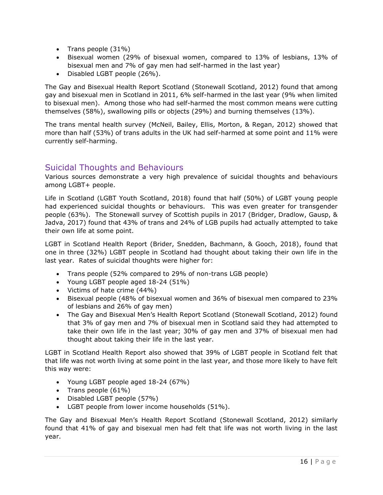- Trans people (31%)
- Bisexual women (29% of bisexual women, compared to 13% of lesbians, 13% of bisexual men and 7% of gay men had self-harmed in the last year)
- Disabled LGBT people (26%).

The Gay and Bisexual Health Report Scotland (Stonewall Scotland, 2012) found that among gay and bisexual men in Scotland in 2011, 6% self-harmed in the last year (9% when limited to bisexual men). Among those who had self-harmed the most common means were cutting themselves (58%), swallowing pills or objects (29%) and burning themselves (13%).

The trans mental health survey (McNeil, Bailey, Ellis, Morton, & Regan, 2012) showed that more than half (53%) of trans adults in the UK had self-harmed at some point and 11% were currently self-harming.

### <span id="page-16-0"></span>Suicidal Thoughts and Behaviours

Various sources demonstrate a very high prevalence of suicidal thoughts and behaviours among LGBT+ people.

Life in Scotland (LGBT Youth Scotland, 2018) found that half (50%) of LGBT young people had experienced suicidal thoughts or behaviours. This was even greater for transgender people (63%). The Stonewall survey of Scottish pupils in 2017 (Bridger, Dradlow, Gausp, & Jadva, 2017) found that 43% of trans and 24% of LGB pupils had actually attempted to take their own life at some point.

LGBT in Scotland Health Report (Brider, Snedden, Bachmann, & Gooch, 2018), found that one in three (32%) LGBT people in Scotland had thought about taking their own life in the last year. Rates of suicidal thoughts were higher for:

- Trans people (52% compared to 29% of non-trans LGB people)
- Young LGBT people aged 18-24 (51%)
- Victims of hate crime (44%)
- Bisexual people (48% of bisexual women and 36% of bisexual men compared to 23% of lesbians and 26% of gay men)
- The Gay and Bisexual Men's Health Report Scotland (Stonewall Scotland, 2012) found that 3% of gay men and 7% of bisexual men in Scotland said they had attempted to take their own life in the last year; 30% of gay men and 37% of bisexual men had thought about taking their life in the last year.

LGBT in Scotland Health Report also showed that 39% of LGBT people in Scotland felt that that life was not worth living at some point in the last year, and those more likely to have felt this way were:

- Young LGBT people aged 18-24 (67%)
- Trans people (61%)
- Disabled LGBT people (57%)
- LGBT people from lower income households (51%).

The Gay and Bisexual Men's Health Report Scotland (Stonewall Scotland, 2012) similarly found that 41% of gay and bisexual men had felt that life was not worth living in the last year.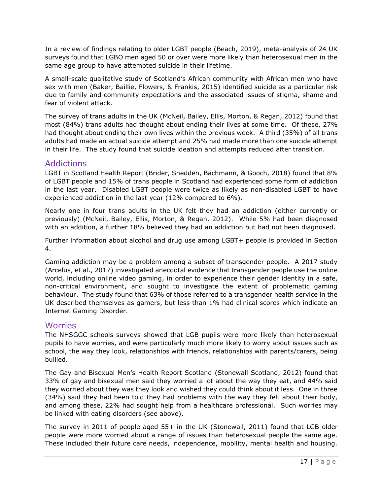In a review of findings relating to older LGBT people (Beach, 2019), meta-analysis of 24 UK surveys found that LGBO men aged 50 or over were more likely than heterosexual men in the same age group to have attempted suicide in their lifetime.

A small-scale qualitative study of Scotland's African community with African men who have sex with men (Baker, Baillie, Flowers, & Frankis, 2015) identified suicide as a particular risk due to family and community expectations and the associated issues of stigma, shame and fear of violent attack.

The survey of trans adults in the UK (McNeil, Bailey, Ellis, Morton, & Regan, 2012) found that most (84%) trans adults had thought about ending their lives at some time. Of these, 27% had thought about ending their own lives within the previous week. A third (35%) of all trans adults had made an actual suicide attempt and 25% had made more than one suicide attempt in their life. The study found that suicide ideation and attempts reduced after transition.

### <span id="page-17-0"></span>Addictions

LGBT in Scotland Health Report (Brider, Snedden, Bachmann, & Gooch, 2018) found that 8% of LGBT people and 15% of trans people in Scotland had experienced some form of addiction in the last year. Disabled LGBT people were twice as likely as non-disabled LGBT to have experienced addiction in the last year (12% compared to 6%).

Nearly one in four trans adults in the UK felt they had an addiction (either currently or previously) (McNeil, Bailey, Ellis, Morton, & Regan, 2012). While 5% had been diagnosed with an addition, a further 18% believed they had an addiction but had not been diagnosed.

Further information about alcohol and drug use among LGBT+ people is provided in Section 4.

Gaming addiction may be a problem among a subset of transgender people. A 2017 study (Arcelus, et al., 2017) investigated anecdotal evidence that transgender people use the online world, including online video gaming, in order to experience their gender identity in a safe, non-critical environment, and sought to investigate the extent of problematic gaming behaviour. The study found that 63% of those referred to a transgender health service in the UK described themselves as gamers, but less than 1% had clinical scores which indicate an Internet Gaming Disorder.

### <span id="page-17-1"></span>**Worries**

The NHSGGC schools surveys showed that LGB pupils were more likely than heterosexual pupils to have worries, and were particularly much more likely to worry about issues such as school, the way they look, relationships with friends, relationships with parents/carers, being bullied.

The Gay and Bisexual Men's Health Report Scotland (Stonewall Scotland, 2012) found that 33% of gay and bisexual men said they worried a lot about the way they eat, and 44% said they worried about they was they look and wished they could think about it less. One in three (34%) said they had been told they had problems with the way they felt about their body, and among these, 22% had sought help from a healthcare professional. Such worries may be linked with eating disorders (see above).

The survey in 2011 of people aged  $55+$  in the UK (Stonewall, 2011) found that LGB older people were more worried about a range of issues than heterosexual people the same age. These included their future care needs, independence, mobility, mental health and housing.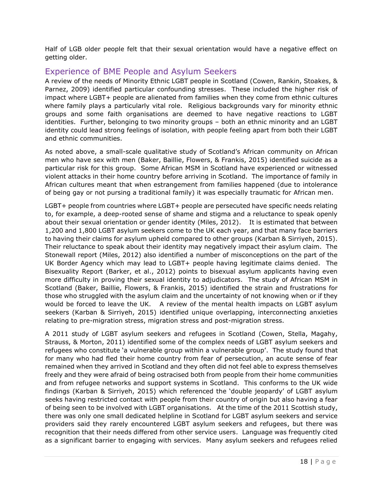Half of LGB older people felt that their sexual orientation would have a negative effect on getting older.

# <span id="page-18-0"></span>Experience of BME People and Asylum Seekers

A review of the needs of Minority Ethnic LGBT people in Scotland (Cowen, Rankin, Stoakes, & Parnez, 2009) identified particular confounding stresses. These included the higher risk of impact where LGBT+ people are alienated from families when they come from ethnic cultures where family plays a particularly vital role. Religious backgrounds vary for minority ethnic groups and some faith organisations are deemed to have negative reactions to LGBT identities. Further, belonging to two minority groups – both an ethnic minority and an LGBT identity could lead strong feelings of isolation, with people feeling apart from both their LGBT and ethnic communities.

As noted above, a small-scale qualitative study of Scotland's African community on African men who have sex with men (Baker, Baillie, Flowers, & Frankis, 2015) identified suicide as a particular risk for this group. Some African MSM in Scotland have experienced or witnessed violent attacks in their home country before arriving in Scotland. The importance of family in African cultures meant that when estrangement from families happened (due to intolerance of being gay or not pursing a traditional family) it was especially traumatic for African men.

LGBT+ people from countries where LGBT+ people are persecuted have specific needs relating to, for example, a deep-rooted sense of shame and stigma and a reluctance to speak openly about their sexual orientation or gender identity (Miles, 2012). It is estimated that between 1,200 and 1,800 LGBT asylum seekers come to the UK each year, and that many face barriers to having their claims for asylum upheld compared to other groups (Karban & Sirriyeh, 2015). Their reluctance to speak about their identity may negatively impact their asylum claim. The Stonewall report (Miles, 2012) also identified a number of misconceptions on the part of the UK Border Agency which may lead to LGBT+ people having legitimate claims denied. The Bisexuality Report (Barker, et al., 2012) points to bisexual asylum applicants having even more difficulty in proving their sexual identity to adjudicators. The study of African MSM in Scotland (Baker, Baillie, Flowers, & Frankis, 2015) identified the strain and frustrations for those who struggled with the asylum claim and the uncertainty of not knowing when or if they would be forced to leave the UK. A review of the mental health impacts on LGBT asylum seekers (Karban & Sirriyeh, 2015) identified unique overlapping, interconnecting anxieties relating to pre-migration stress, migration stress and post-migration stress.

A 2011 study of LGBT asylum seekers and refugees in Scotland (Cowen, Stella, Magahy, Strauss, & Morton, 2011) identified some of the complex needs of LGBT asylum seekers and refugees who constitute 'a vulnerable group within a vulnerable group'. The study found that for many who had fled their home country from fear of persecution, an acute sense of fear remained when they arrived in Scotland and they often did not feel able to express themselves freely and they were afraid of being ostracised both from people from their home communities and from refugee networks and support systems in Scotland. This conforms to the UK wide findings (Karban & Sirriyeh, 2015) which referenced the 'double jeopardy' of LGBT asylum seeks having restricted contact with people from their country of origin but also having a fear of being seen to be involved with LGBT organisations. At the time of the 2011 Scottish study, there was only one small dedicated helpline in Scotland for LGBT asylum seekers and service providers said they rarely encountered LGBT asylum seekers and refugees, but there was recognition that their needs differed from other service users. Language was frequently cited as a significant barrier to engaging with services. Many asylum seekers and refugees relied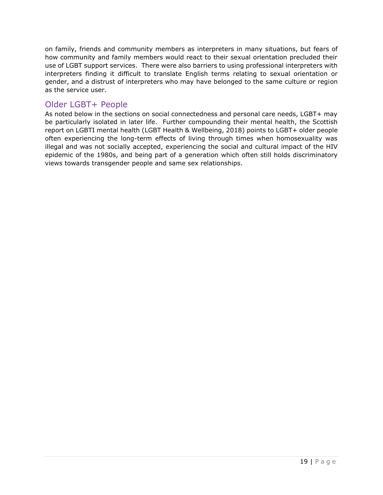on family, friends and community members as interpreters in many situations, but fears of how community and family members would react to their sexual orientation precluded their use of LGBT support services. There were also barriers to using professional interpreters with interpreters finding it difficult to translate English terms relating to sexual orientation or gender, and a distrust of interpreters who may have belonged to the same culture or region as the service user.

### <span id="page-19-0"></span>Older LGBT+ People

As noted below in the sections on social connectedness and personal care needs, LGBT+ may be particularly isolated in later life. Further compounding their mental health, the Scottish report on LGBTI mental health (LGBT Health & Wellbeing, 2018) points to LGBT+ older people often experiencing the long-term effects of living through times when homosexuality was illegal and was not socially accepted, experiencing the social and cultural impact of the HIV epidemic of the 1980s, and being part of a generation which often still holds discriminatory views towards transgender people and same sex relationships.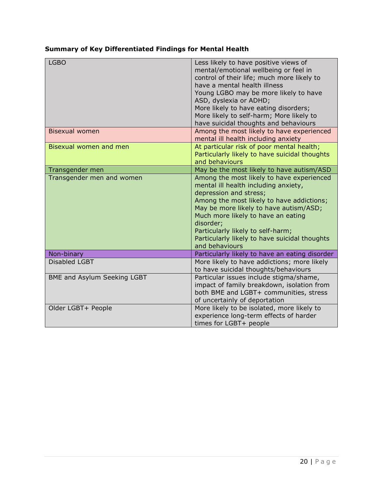### **Summary of Key Differentiated Findings for Mental Health**

| <b>LGBO</b>                 | Less likely to have positive views of<br>mental/emotional wellbeing or feel in<br>control of their life; much more likely to<br>have a mental health illness<br>Young LGBO may be more likely to have<br>ASD, dyslexia or ADHD;<br>More likely to have eating disorders;<br>More likely to self-harm; More likely to<br>have suicidal thoughts and behaviours |
|-----------------------------|---------------------------------------------------------------------------------------------------------------------------------------------------------------------------------------------------------------------------------------------------------------------------------------------------------------------------------------------------------------|
| <b>Bisexual women</b>       | Among the most likely to have experienced<br>mental ill health including anxiety                                                                                                                                                                                                                                                                              |
| Bisexual women and men      | At particular risk of poor mental health;<br>Particularly likely to have suicidal thoughts<br>and behaviours                                                                                                                                                                                                                                                  |
| Transgender men             | May be the most likely to have autism/ASD                                                                                                                                                                                                                                                                                                                     |
| Transgender men and women   | Among the most likely to have experienced<br>mental ill health including anxiety,<br>depression and stress;<br>Among the most likely to have addictions;<br>May be more likely to have autism/ASD;<br>Much more likely to have an eating<br>disorder;<br>Particularly likely to self-harm;<br>Particularly likely to have suicidal thoughts<br>and behaviours |
| Non-binary                  | Particularly likely to have an eating disorder                                                                                                                                                                                                                                                                                                                |
| Disabled LGBT               | More likely to have addictions; more likely<br>to have suicidal thoughts/behaviours                                                                                                                                                                                                                                                                           |
| BME and Asylum Seeking LGBT | Particular issues include stigma/shame,<br>impact of family breakdown, isolation from<br>both BME and LGBT+ communities, stress<br>of uncertainly of deportation                                                                                                                                                                                              |
| Older LGBT+ People          | More likely to be isolated, more likely to<br>experience long-term effects of harder<br>times for LGBT+ people                                                                                                                                                                                                                                                |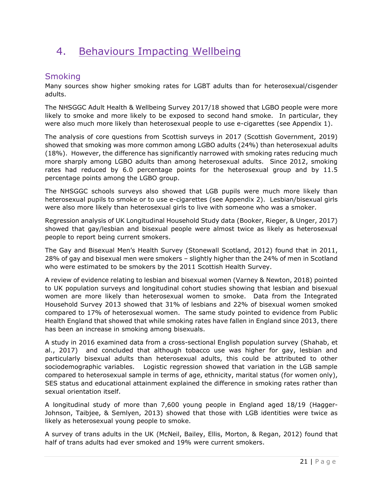# <span id="page-21-0"></span>4. Behaviours Impacting Wellbeing

# <span id="page-21-1"></span>Smoking

Many sources show higher smoking rates for LGBT adults than for heterosexual/cisgender adults.

The NHSGGC Adult Health & Wellbeing Survey 2017/18 showed that LGBO people were more likely to smoke and more likely to be exposed to second hand smoke. In particular, they were also much more likely than heterosexual people to use e-cigarettes (see Appendix 1).

The analysis of core questions from Scottish surveys in 2017 (Scottish Government, 2019) showed that smoking was more common among LGBO adults (24%) than heterosexual adults (18%). However, the difference has significantly narrowed with smoking rates reducing much more sharply among LGBO adults than among heterosexual adults. Since 2012, smoking rates had reduced by 6.0 percentage points for the heterosexual group and by 11.5 percentage points among the LGBO group.

The NHSGGC schools surveys also showed that LGB pupils were much more likely than heterosexual pupils to smoke or to use e-cigarettes (see Appendix 2). Lesbian/bisexual girls were also more likely than heterosexual girls to live with someone who was a smoker.

Regression analysis of UK Longitudinal Household Study data (Booker, Rieger, & Unger, 2017) showed that gay/lesbian and bisexual people were almost twice as likely as heterosexual people to report being current smokers.

The Gay and Bisexual Men's Health Survey (Stonewall Scotland, 2012) found that in 2011, 28% of gay and bisexual men were smokers – slightly higher than the 24% of men in Scotland who were estimated to be smokers by the 2011 Scottish Health Survey.

A review of evidence relating to lesbian and bisexual women (Varney & Newton, 2018) pointed to UK population surveys and longitudinal cohort studies showing that lesbian and bisexual women are more likely than heterosexual women to smoke. Data from the Integrated Household Survey 2013 showed that 31% of lesbians and 22% of bisexual women smoked compared to 17% of heterosexual women. The same study pointed to evidence from Public Health England that showed that while smoking rates have fallen in England since 2013, there has been an increase in smoking among bisexuals.

A study in 2016 examined data from a cross-sectional English population survey (Shahab, et al., 2017) and concluded that although tobacco use was higher for gay, lesbian and particularly bisexual adults than heterosexual adults, this could be attributed to other sociodemographic variables. Logistic regression showed that variation in the LGB sample compared to heterosexual sample in terms of age, ethnicity, marital status (for women only), SES status and educational attainment explained the difference in smoking rates rather than sexual orientation itself.

A longitudinal study of more than 7,600 young people in England aged 18/19 (Hagger-Johnson, Taibjee, & Semlyen, 2013) showed that those with LGB identities were twice as likely as heterosexual young people to smoke.

A survey of trans adults in the UK (McNeil, Bailey, Ellis, Morton, & Regan, 2012) found that half of trans adults had ever smoked and 19% were current smokers.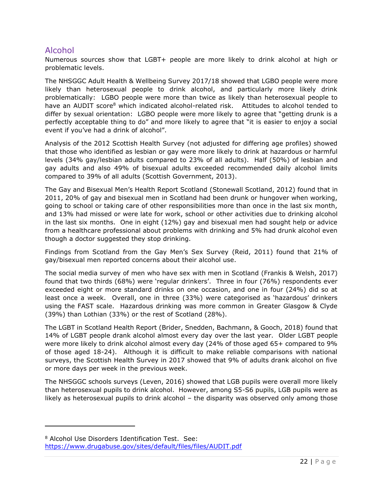# <span id="page-22-0"></span>Alcohol

Numerous sources show that LGBT+ people are more likely to drink alcohol at high or problematic levels.

The NHSGGC Adult Health & Wellbeing Survey 2017/18 showed that LGBO people were more likely than heterosexual people to drink alcohol, and particularly more likely drink problematically: LGBO people were more than twice as likely than heterosexual people to have an AUDIT score<sup>8</sup> which indicated alcohol-related risk. Attitudes to alcohol tended to differ by sexual orientation: LGBO people were more likely to agree that "getting drunk is a perfectly acceptable thing to do" and more likely to agree that "it is easier to enjoy a social event if you've had a drink of alcohol".

Analysis of the 2012 Scottish Health Survey (not adjusted for differing age profiles) showed that those who identified as lesbian or gay were more likely to drink at hazardous or harmful levels (34% gay/lesbian adults compared to 23% of all adults). Half (50%) of lesbian and gay adults and also 49% of bisexual adults exceeded recommended daily alcohol limits compared to 39% of all adults (Scottish Government, 2013).

The Gay and Bisexual Men's Health Report Scotland (Stonewall Scotland, 2012) found that in 2011, 20% of gay and bisexual men in Scotland had been drunk or hungover when working, going to school or taking care of other responsibilities more than once in the last six month, and 13% had missed or were late for work, school or other activities due to drinking alcohol in the last six months. One in eight (12%) gay and bisexual men had sought help or advice from a healthcare professional about problems with drinking and 5% had drunk alcohol even though a doctor suggested they stop drinking.

Findings from Scotland from the Gay Men's Sex Survey (Reid, 2011) found that 21% of gay/bisexual men reported concerns about their alcohol use.

The social media survey of men who have sex with men in Scotland (Frankis & Welsh, 2017) found that two thirds (68%) were 'regular drinkers'. Three in four (76%) respondents ever exceeded eight or more standard drinks on one occasion, and one in four (24%) did so at least once a week. Overall, one in three (33%) were categorised as 'hazardous' drinkers using the FAST scale. Hazardous drinking was more common in Greater Glasgow & Clyde (39%) than Lothian (33%) or the rest of Scotland (28%).

The LGBT in Scotland Health Report (Brider, Snedden, Bachmann, & Gooch, 2018) found that 14% of LGBT people drank alcohol almost every day over the last year. Older LGBT people were more likely to drink alcohol almost every day (24% of those aged 65+ compared to 9% of those aged 18-24). Although it is difficult to make reliable comparisons with national surveys, the Scottish Health Survey in 2017 showed that 9% of adults drank alcohol on five or more days per week in the previous week.

The NHSGGC schools surveys (Leven, 2016) showed that LGB pupils were overall more likely than heterosexual pupils to drink alcohol. However, among S5-S6 pupils, LGB pupils were as likely as heterosexual pupils to drink alcohol – the disparity was observed only among those

<sup>8</sup> Alcohol Use Disorders Identification Test. See: <https://www.drugabuse.gov/sites/default/files/files/AUDIT.pdf>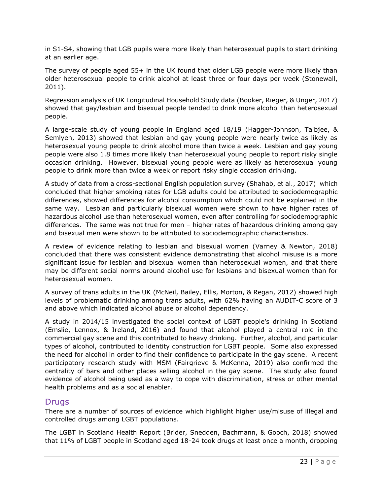in S1-S4, showing that LGB pupils were more likely than heterosexual pupils to start drinking at an earlier age.

The survey of people aged 55+ in the UK found that older LGB people were more likely than older heterosexual people to drink alcohol at least three or four days per week (Stonewall, 2011).

Regression analysis of UK Longitudinal Household Study data (Booker, Rieger, & Unger, 2017) showed that gay/lesbian and bisexual people tended to drink more alcohol than heterosexual people.

A large-scale study of young people in England aged 18/19 (Hagger-Johnson, Taibjee, & Semlyen, 2013) showed that lesbian and gay young people were nearly twice as likely as heterosexual young people to drink alcohol more than twice a week. Lesbian and gay young people were also 1.8 times more likely than heterosexual young people to report risky single occasion drinking. However, bisexual young people were as likely as heterosexual young people to drink more than twice a week or report risky single occasion drinking.

A study of data from a cross-sectional English population survey (Shahab, et al., 2017) which concluded that higher smoking rates for LGB adults could be attributed to sociodemographic differences, showed differences for alcohol consumption which could not be explained in the same way. Lesbian and particularly bisexual women were shown to have higher rates of hazardous alcohol use than heterosexual women, even after controlling for sociodemographic differences. The same was not true for men – higher rates of hazardous drinking among gay and bisexual men were shown to be attributed to sociodemographic characteristics.

A review of evidence relating to lesbian and bisexual women (Varney & Newton, 2018) concluded that there was consistent evidence demonstrating that alcohol misuse is a more significant issue for lesbian and bisexual women than heterosexual women, and that there may be different social norms around alcohol use for lesbians and bisexual women than for heterosexual women.

A survey of trans adults in the UK (McNeil, Bailey, Ellis, Morton, & Regan, 2012) showed high levels of problematic drinking among trans adults, with 62% having an AUDIT-C score of 3 and above which indicated alcohol abuse or alcohol dependency.

A study in 2014/15 investigated the social context of LGBT people's drinking in Scotland (Emslie, Lennox, & Ireland, 2016) and found that alcohol played a central role in the commercial gay scene and this contributed to heavy drinking. Further, alcohol, and particular types of alcohol, contributed to identity construction for LGBT people. Some also expressed the need for alcohol in order to find their confidence to participate in the gay scene. A recent participatory research study with MSM (Fairgrieve & McKenna, 2019) also confirmed the centrality of bars and other places selling alcohol in the gay scene. The study also found evidence of alcohol being used as a way to cope with discrimination, stress or other mental health problems and as a social enabler.

### <span id="page-23-0"></span>**Drugs**

There are a number of sources of evidence which highlight higher use/misuse of illegal and controlled drugs among LGBT populations.

The LGBT in Scotland Health Report (Brider, Snedden, Bachmann, & Gooch, 2018) showed that 11% of LGBT people in Scotland aged 18-24 took drugs at least once a month, dropping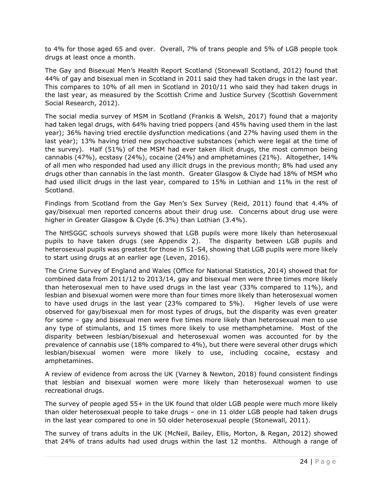to 4% for those aged 65 and over. Overall, 7% of trans people and 5% of LGB people took drugs at least once a month.

The Gay and Bisexual Men's Health Report Scotland (Stonewall Scotland, 2012) found that 44% of gay and bisexual men in Scotland in 2011 said they had taken drugs in the last year. This compares to 10% of all men in Scotland in 2010/11 who said they had taken drugs in the last year, as measured by the Scottish Crime and Justice Survey (Scottish Government Social Research, 2012).

The social media survey of MSM in Scotland (Frankis & Welsh, 2017) found that a majority had taken legal drugs, with 64% having tried poppers (and 45% having used them in the last year); 36% having tried erectile dysfunction medications (and 27% having used them in the last year); 13% having tried new psychoactive substances (which were legal at the time of the survey). Half (51%) of the MSM had ever taken illicit drugs, the most common being cannabis (47%), ecstasy (24%), cocaine (24%) and amphetamines (21%). Altogether, 14% of all men who responded had used any illicit drugs in the previous month; 8% had used any drugs other than cannabis in the last month. Greater Glasgow & Clyde had 18% of MSM who had used illicit drugs in the last year, compared to 15% in Lothian and 11% in the rest of Scotland.

Findings from Scotland from the Gay Men's Sex Survey (Reid, 2011) found that 4.4% of gay/bisexual men reported concerns about their drug use. Concerns about drug use were higher in Greater Glasgow & Clyde (6.3%) than Lothian (3.4%).

The NHSGGC schools surveys showed that LGB pupils were more likely than heterosexual pupils to have taken drugs (see Appendix 2). The disparity between LGB pupils and heterosexual pupils was greatest for those in S1-S4, showing that LGB pupils were more likely to start using drugs at an earlier age (Leven, 2016).

The Crime Survey of England and Wales (Office for National Statistics, 2014) showed that for combined data from 2011/12 to 2013/14, gay and bisexual men were three times more likely than heterosexual men to have used drugs in the last year (33% compared to 11%), and lesbian and bisexual women were more than four times more likely than heterosexual women to have used drugs in the last year (23% compared to 5%). Higher levels of use were observed for gay/bisexual men for most types of drugs, but the disparity was even greater for some – gay and bisexual men were five times more likely than heterosexual men to use any type of stimulants, and 15 times more likely to use methamphetamine. Most of the disparity between lesbian/bisexual and heterosexual women was accounted for by the prevalence of cannabis use (18% compared to 4%), but there were several other drugs which lesbian/bisexual women were more likely to use, including cocaine, ecstasy and amphetamines.

A review of evidence from across the UK (Varney & Newton, 2018) found consistent findings that lesbian and bisexual women were more likely than heterosexual women to use recreational drugs.

The survey of people aged 55+ in the UK found that older LGB people were much more likely than older heterosexual people to take drugs – one in 11 older LGB people had taken drugs in the last year compared to one in 50 older heterosexual people (Stonewall, 2011).

The survey of trans adults in the UK (McNeil, Bailey, Ellis, Morton, & Regan, 2012) showed that 24% of trans adults had used drugs within the last 12 months. Although a range of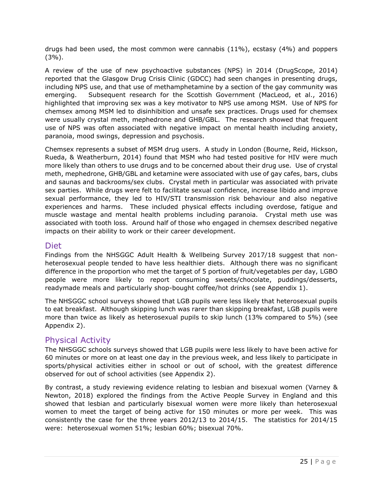drugs had been used, the most common were cannabis (11%), ecstasy (4%) and poppers (3%).

A review of the use of new psychoactive substances (NPS) in 2014 (DrugScope, 2014) reported that the Glasgow Drug Crisis Clinic (GDCC) had seen changes in presenting drugs, including NPS use, and that use of methamphetamine by a section of the gay community was emerging. Subsequent research for the Scottish Government (MacLeod, et al., 2016) highlighted that improving sex was a key motivator to NPS use among MSM. Use of NPS for chemsex among MSM led to disinhibition and unsafe sex practices. Drugs used for chemsex were usually crystal meth, mephedrone and GHB/GBL. The research showed that frequent use of NPS was often associated with negative impact on mental health including anxiety, paranoia, mood swings, depression and psychosis.

Chemsex represents a subset of MSM drug users. A study in London (Bourne, Reid, Hickson, Rueda, & Weatherburn, 2014) found that MSM who had tested positive for HIV were much more likely than others to use drugs and to be concerned about their drug use. Use of crystal meth, mephedrone, GHB/GBL and ketamine were associated with use of gay cafes, bars, clubs and saunas and backrooms/sex clubs. Crystal meth in particular was associated with private sex parties. While drugs were felt to facilitate sexual confidence, increase libido and improve sexual performance, they led to HIV/STI transmission risk behaviour and also negative experiences and harms. These included physical effects including overdose, fatigue and muscle wastage and mental health problems including paranoia. Crystal meth use was associated with tooth loss. Around half of those who engaged in chemsex described negative impacts on their ability to work or their career development.

### <span id="page-25-0"></span>Diet

Findings from the NHSGGC Adult Health & Wellbeing Survey 2017/18 suggest that nonheterosexual people tended to have less healthier diets. Although there was no significant difference in the proportion who met the target of 5 portion of fruit/vegetables per day, LGBO people were more likely to report consuming sweets/chocolate, puddings/desserts, readymade meals and particularly shop-bought coffee/hot drinks (see Appendix 1).

The NHSGGC school surveys showed that LGB pupils were less likely that heterosexual pupils to eat breakfast. Although skipping lunch was rarer than skipping breakfast, LGB pupils were more than twice as likely as heterosexual pupils to skip lunch (13% compared to 5%) (see Appendix 2).

### <span id="page-25-1"></span>Physical Activity

The NHSGGC schools surveys showed that LGB pupils were less likely to have been active for 60 minutes or more on at least one day in the previous week, and less likely to participate in sports/physical activities either in school or out of school, with the greatest difference observed for out of school activities (see Appendix 2).

By contrast, a study reviewing evidence relating to lesbian and bisexual women (Varney & Newton, 2018) explored the findings from the Active People Survey in England and this showed that lesbian and particularly bisexual women were more likely than heterosexual women to meet the target of being active for 150 minutes or more per week. This was consistently the case for the three years 2012/13 to 2014/15. The statistics for 2014/15 were: heterosexual women 51%; lesbian 60%; bisexual 70%.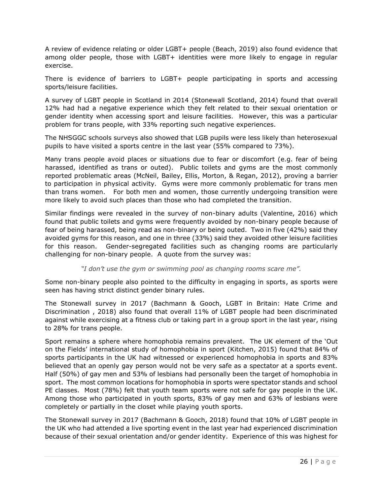A review of evidence relating or older LGBT+ people (Beach, 2019) also found evidence that among older people, those with LGBT+ identities were more likely to engage in regular exercise.

There is evidence of barriers to LGBT+ people participating in sports and accessing sports/leisure facilities.

A survey of LGBT people in Scotland in 2014 (Stonewall Scotland, 2014) found that overall 12% had had a negative experience which they felt related to their sexual orientation or gender identity when accessing sport and leisure facilities. However, this was a particular problem for trans people, with 33% reporting such negative experiences.

The NHSGGC schools surveys also showed that LGB pupils were less likely than heterosexual pupils to have visited a sports centre in the last year (55% compared to 73%).

Many trans people avoid places or situations due to fear or discomfort (e.g. fear of being harassed, identified as trans or outed). Public toilets and gyms are the most commonly reported problematic areas (McNeil, Bailey, Ellis, Morton, & Regan, 2012), proving a barrier to participation in physical activity. Gyms were more commonly problematic for trans men than trans women. For both men and women, those currently undergoing transition were more likely to avoid such places than those who had completed the transition.

Similar findings were revealed in the survey of non-binary adults (Valentine, 2016) which found that public toilets and gyms were frequently avoided by non-binary people because of fear of being harassed, being read as non-binary or being outed. Two in five (42%) said they avoided gyms for this reason, and one in three (33%) said they avoided other leisure facilities for this reason. Gender-segregated facilities such as changing rooms are particularly challenging for non-binary people. A quote from the survey was:

*"I don't use the gym or swimming pool as changing rooms scare me".*

Some non-binary people also pointed to the difficulty in engaging in sports, as sports were seen has having strict distinct gender binary rules.

The Stonewall survey in 2017 (Bachmann & Gooch, LGBT in Britain: Hate Crime and Discrimination , 2018) also found that overall 11% of LGBT people had been discriminated against while exercising at a fitness club or taking part in a group sport in the last year, rising to 28% for trans people.

Sport remains a sphere where homophobia remains prevalent. The UK element of the 'Out on the Fields' international study of homophobia in sport (Kitchen, 2015) found that 84% of sports participants in the UK had witnessed or experienced homophobia in sports and 83% believed that an openly gay person would not be very safe as a spectator at a sports event. Half (50%) of gay men and 53% of lesbians had personally been the target of homophobia in sport. The most common locations for homophobia in sports were spectator stands and school PE classes. Most (78%) felt that youth team sports were not safe for gay people in the UK. Among those who participated in youth sports, 83% of gay men and 63% of lesbians were completely or partially in the closet while playing youth sports.

The Stonewall survey in 2017 (Bachmann & Gooch, 2018) found that 10% of LGBT people in the UK who had attended a live sporting event in the last year had experienced discrimination because of their sexual orientation and/or gender identity. Experience of this was highest for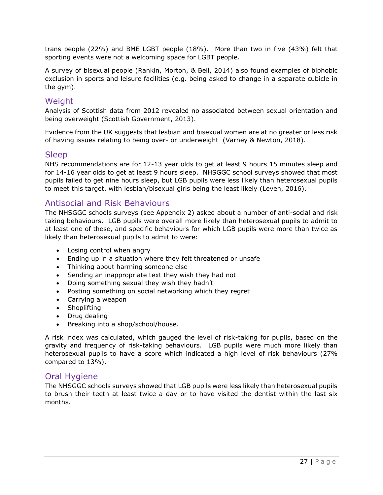trans people (22%) and BME LGBT people (18%). More than two in five (43%) felt that sporting events were not a welcoming space for LGBT people.

A survey of bisexual people (Rankin, Morton, & Bell, 2014) also found examples of biphobic exclusion in sports and leisure facilities (e.g. being asked to change in a separate cubicle in the gym).

### <span id="page-27-0"></span>**Weight**

Analysis of Scottish data from 2012 revealed no associated between sexual orientation and being overweight (Scottish Government, 2013).

Evidence from the UK suggests that lesbian and bisexual women are at no greater or less risk of having issues relating to being over- or underweight (Varney & Newton, 2018).

### <span id="page-27-1"></span>Sleep

NHS recommendations are for 12-13 year olds to get at least 9 hours 15 minutes sleep and for 14-16 year olds to get at least 9 hours sleep. NHSGGC school surveys showed that most pupils failed to get nine hours sleep, but LGB pupils were less likely than heterosexual pupils to meet this target, with lesbian/bisexual girls being the least likely (Leven, 2016).

### <span id="page-27-2"></span>Antisocial and Risk Behaviours

The NHSGGC schools surveys (see Appendix 2) asked about a number of anti-social and risk taking behaviours. LGB pupils were overall more likely than heterosexual pupils to admit to at least one of these, and specific behaviours for which LGB pupils were more than twice as likely than heterosexual pupils to admit to were:

- Losing control when angry
- Ending up in a situation where they felt threatened or unsafe
- Thinking about harming someone else
- Sending an inappropriate text they wish they had not
- Doing something sexual they wish they hadn't
- Posting something on social networking which they regret
- Carrying a weapon
- Shoplifting
- Drug dealing
- Breaking into a shop/school/house.

A risk index was calculated, which gauged the level of risk-taking for pupils, based on the gravity and frequency of risk-taking behaviours. LGB pupils were much more likely than heterosexual pupils to have a score which indicated a high level of risk behaviours (27% compared to 13%).

### <span id="page-27-3"></span>Oral Hygiene

The NHSGGC schools surveys showed that LGB pupils were less likely than heterosexual pupils to brush their teeth at least twice a day or to have visited the dentist within the last six months.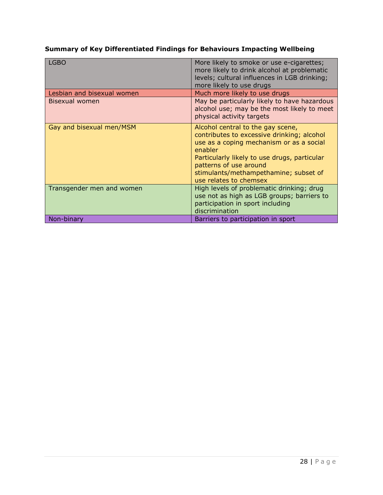### **Summary of Key Differentiated Findings for Behaviours Impacting Wellbeing**

| LGBO                       | More likely to smoke or use e-cigarettes;<br>more likely to drink alcohol at problematic<br>levels; cultural influences in LGB drinking;<br>more likely to use drugs                                                                                                                |
|----------------------------|-------------------------------------------------------------------------------------------------------------------------------------------------------------------------------------------------------------------------------------------------------------------------------------|
| Lesbian and bisexual women | Much more likely to use drugs                                                                                                                                                                                                                                                       |
| Bisexual women             | May be particularly likely to have hazardous<br>alcohol use; may be the most likely to meet<br>physical activity targets                                                                                                                                                            |
| Gay and bisexual men/MSM   | Alcohol central to the gay scene,<br>contributes to excessive drinking; alcohol<br>use as a coping mechanism or as a social<br>enabler<br>Particularly likely to use drugs, particular<br>patterns of use around<br>stimulants/methampethamine; subset of<br>use relates to chemsex |
| Transgender men and women  | High levels of problematic drinking; drug<br>use not as high as LGB groups; barriers to<br>participation in sport including<br>discrimination                                                                                                                                       |
| Non-binary                 | Barriers to participation in sport                                                                                                                                                                                                                                                  |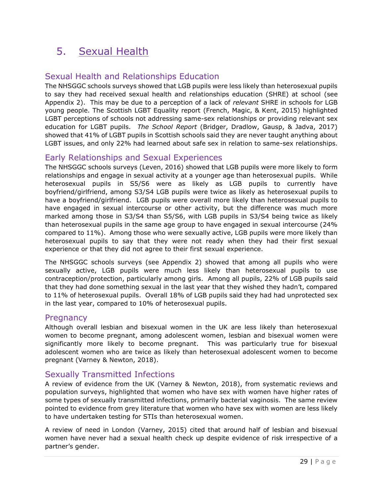# <span id="page-29-0"></span>5. Sexual Health

# <span id="page-29-1"></span>Sexual Health and Relationships Education

The NHSGGC schools surveys showed that LGB pupils were less likely than heterosexual pupils to say they had received sexual health and relationships education (SHRE) at school (see Appendix 2). This may be due to a perception of a lack of *relevant* SHRE in schools for LGB young people. The Scottish LGBT Equality report (French, Magic, & Kent, 2015) highlighted LGBT perceptions of schools not addressing same-sex relationships or providing relevant sex education for LGBT pupils. *The School Report* (Bridger, Dradlow, Gausp, & Jadva, 2017) showed that 41% of LGBT pupils in Scottish schools said they are never taught anything about LGBT issues, and only 22% had learned about safe sex in relation to same-sex relationships.

### <span id="page-29-2"></span>Early Relationships and Sexual Experiences

The NHSGGC schools surveys (Leven, 2016) showed that LGB pupils were more likely to form relationships and engage in sexual activity at a younger age than heterosexual pupils. While heterosexual pupils in S5/S6 were as likely as LGB pupils to currently have boyfriend/girlfriend, among S3/S4 LGB pupils were twice as likely as heterosexual pupils to have a boyfriend/girlfriend. LGB pupils were overall more likely than heterosexual pupils to have engaged in sexual intercourse or other activity, but the difference was much more marked among those in S3/S4 than S5/S6, with LGB pupils in S3/S4 being twice as likely than heterosexual pupils in the same age group to have engaged in sexual intercourse (24% compared to 11%). Among those who were sexually active, LGB pupils were more likely than heterosexual pupils to say that they were not ready when they had their first sexual experience or that they did not agree to their first sexual experience.

The NHSGGC schools surveys (see Appendix 2) showed that among all pupils who were sexually active, LGB pupils were much less likely than heterosexual pupils to use contraception/protection, particularly among girls. Among all pupils, 22% of LGB pupils said that they had done something sexual in the last year that they wished they hadn't, compared to 11% of heterosexual pupils. Overall 18% of LGB pupils said they had had unprotected sex in the last year, compared to 10% of heterosexual pupils.

### <span id="page-29-3"></span>**Pregnancy**

Although overall lesbian and bisexual women in the UK are less likely than heterosexual women to become pregnant, among adolescent women, lesbian and bisexual women were significantly more likely to become pregnant. This was particularly true for bisexual adolescent women who are twice as likely than heterosexual adolescent women to become pregnant (Varney & Newton, 2018).

### <span id="page-29-4"></span>Sexually Transmitted Infections

A review of evidence from the UK (Varney & Newton, 2018), from systematic reviews and population surveys, highlighted that women who have sex with women have higher rates of some types of sexually transmitted infections, primarily bacterial vaginosis. The same review pointed to evidence from grey literature that women who have sex with women are less likely to have undertaken testing for STIs than heterosexual women.

A review of need in London (Varney, 2015) cited that around half of lesbian and bisexual women have never had a sexual health check up despite evidence of risk irrespective of a partner's gender.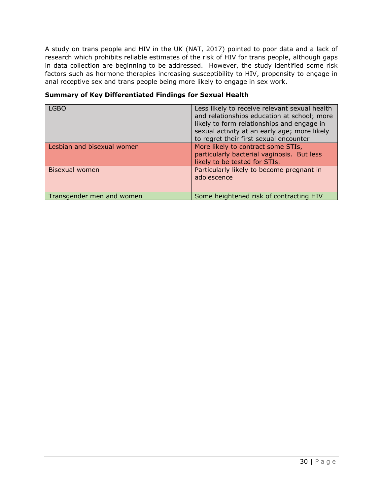A study on trans people and HIV in the UK (NAT, 2017) pointed to poor data and a lack of research which prohibits reliable estimates of the risk of HIV for trans people, although gaps in data collection are beginning to be addressed. However, the study identified some risk factors such as hormone therapies increasing susceptibility to HIV, propensity to engage in anal receptive sex and trans people being more likely to engage in sex work.

| <b>LGBO</b>                | Less likely to receive relevant sexual health<br>and relationships education at school; more<br>likely to form relationships and engage in<br>sexual activity at an early age; more likely<br>to regret their first sexual encounter |
|----------------------------|--------------------------------------------------------------------------------------------------------------------------------------------------------------------------------------------------------------------------------------|
| Lesbian and bisexual women | More likely to contract some STIs,<br>particularly bacterial vaginosis. But less<br>likely to be tested for STIs.                                                                                                                    |
| Bisexual women             | Particularly likely to become pregnant in<br>adolescence                                                                                                                                                                             |
| Transgender men and women  | Some heightened risk of contracting HIV                                                                                                                                                                                              |

#### **Summary of Key Differentiated Findings for Sexual Health**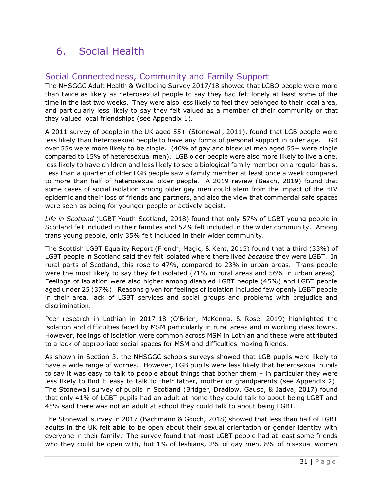# <span id="page-31-0"></span>6. Social Health

# <span id="page-31-1"></span>Social Connectedness, Community and Family Support

The NHSGGC Adult Health & Wellbeing Survey 2017/18 showed that LGBO people were more than twice as likely as heterosexual people to say they had felt lonely at least some of the time in the last two weeks. They were also less likely to feel they belonged to their local area, and particularly less likely to say they felt valued as a member of their community or that they valued local friendships (see Appendix 1).

A 2011 survey of people in the UK aged 55+ (Stonewall, 2011), found that LGB people were less likely than heterosexual people to have any forms of personal support in older age. LGB over 55s were more likely to be single. (40% of gay and bisexual men aged 55+ were single compared to 15% of heterosexual men). LGB older people were also more likely to live alone, less likely to have children and less likely to see a biological family member on a regular basis. Less than a quarter of older LGB people saw a family member at least once a week compared to more than half of heterosexual older people. A 2019 review (Beach, 2019) found that some cases of social isolation among older gay men could stem from the impact of the HIV epidemic and their loss of friends and partners, and also the view that commercial safe spaces were seen as being for younger people or actively ageist.

*Life in Scotland* (LGBT Youth Scotland, 2018) found that only 57% of LGBT young people in Scotland felt included in their families and 52% felt included in the wider community. Among trans young people, only 35% felt included in their wider community.

The Scottish LGBT Equality Report (French, Magic, & Kent, 2015) found that a third (33%) of LGBT people in Scotland said they felt isolated where there lived *because* they were LGBT. In rural parts of Scotland, this rose to 47%, compared to 23% in urban areas. Trans people were the most likely to say they felt isolated (71% in rural areas and 56% in urban areas). Feelings of isolation were also higher among disabled LGBT people (45%) and LGBT people aged under 25 (37%). Reasons given for feelings of isolation included few openly LGBT people in their area, lack of LGBT services and social groups and problems with prejudice and discrimination.

Peer research in Lothian in 2017-18 (O'Brien, McKenna, & Rose, 2019) highlighted the isolation and difficulties faced by MSM particularly in rural areas and in working class towns. However, feelings of isolation were common across MSM in Lothian and these were attributed to a lack of appropriate social spaces for MSM and difficulties making friends.

As shown in Section 3, the NHSGGC schools surveys showed that LGB pupils were likely to have a wide range of worries. However, LGB pupils were less likely that heterosexual pupils to say it was easy to talk to people about things that bother them – in particular they were less likely to find it easy to talk to their father, mother or grandparents (see Appendix 2). The Stonewall survey of pupils in Scotland (Bridger, Dradlow, Gausp, & Jadva, 2017) found that only 41% of LGBT pupils had an adult at home they could talk to about being LGBT and 45% said there was not an adult at school they could talk to about being LGBT.

The Stonewall survey in 2017 (Bachmann & Gooch, 2018) showed that less than half of LGBT adults in the UK felt able to be open about their sexual orientation or gender identity with everyone in their family. The survey found that most LGBT people had at least some friends who they could be open with, but 1% of lesbians, 2% of gay men, 8% of bisexual women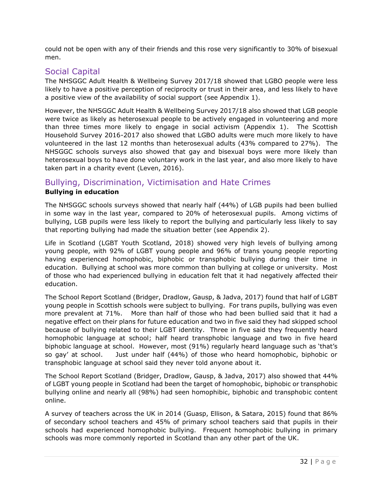could not be open with any of their friends and this rose very significantly to 30% of bisexual men.

# <span id="page-32-0"></span>Social Capital

The NHSGGC Adult Health & Wellbeing Survey 2017/18 showed that LGBO people were less likely to have a positive perception of reciprocity or trust in their area, and less likely to have a positive view of the availability of social support (see Appendix 1).

However, the NHSGGC Adult Health & Wellbeing Survey 2017/18 also showed that LGB people were twice as likely as heterosexual people to be actively engaged in volunteering and more than three times more likely to engage in social activism (Appendix 1). The Scottish Household Survey 2016-2017 also showed that LGBO adults were much more likely to have volunteered in the last 12 months than heterosexual adults (43% compared to 27%). The NHSGGC schools surveys also showed that gay and bisexual boys were more likely than heterosexual boys to have done voluntary work in the last year, and also more likely to have taken part in a charity event (Leven, 2016).

### <span id="page-32-1"></span>Bullying, Discrimination, Victimisation and Hate Crimes **Bullying in education**

The NHSGGC schools surveys showed that nearly half (44%) of LGB pupils had been bullied in some way in the last year, compared to 20% of heterosexual pupils. Among victims of bullying, LGB pupils were less likely to report the bullying and particularly less likely to say that reporting bullying had made the situation better (see Appendix 2).

Life in Scotland (LGBT Youth Scotland, 2018) showed very high levels of bullying among young people, with 92% of LGBT young people and 96% of trans young people reporting having experienced homophobic, biphobic or transphobic bullying during their time in education. Bullying at school was more common than bullying at college or university. Most of those who had experienced bullying in education felt that it had negatively affected their education.

The School Report Scotland (Bridger, Dradlow, Gausp, & Jadva, 2017) found that half of LGBT young people in Scottish schools were subject to bullying. For trans pupils, bullying was even more prevalent at 71%. More than half of those who had been bullied said that it had a negative effect on their plans for future education and two in five said they had skipped school because of bullying related to their LGBT identity. Three in five said they frequently heard homophobic language at school; half heard transphobic language and two in five heard biphobic language at school. However, most (91%) regularly heard language such as 'that's so gay' at school. Just under half (44%) of those who heard homophobic, biphobic or transphobic language at school said they never told anyone about it.

The School Report Scotland (Bridger, Dradlow, Gausp, & Jadva, 2017) also showed that 44% of LGBT young people in Scotland had been the target of homophobic, biphobic or transphobic bullying online and nearly all (98%) had seen homophibic, biphobic and transphobic content online.

A survey of teachers across the UK in 2014 (Guasp, Ellison, & Satara, 2015) found that 86% of secondary school teachers and 45% of primary school teachers said that pupils in their schools had experienced homophobic bullying. Frequent homophobic bullying in primary schools was more commonly reported in Scotland than any other part of the UK.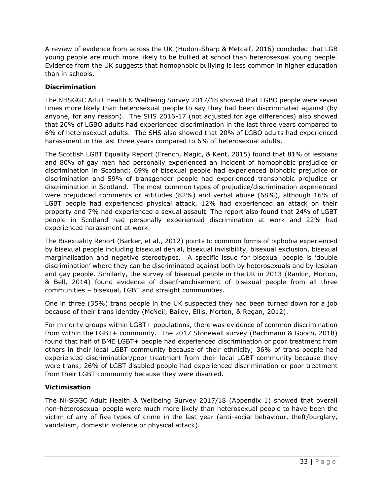A review of evidence from across the UK (Hudon-Sharp & Metcalf, 2016) concluded that LGB young people are much more likely to be bullied at school than heterosexual young people. Evidence from the UK suggests that homophobic bullying is less common in higher education than in schools.

### **Discrimination**

The NHSGGC Adult Health & Wellbeing Survey 2017/18 showed that LGBO people were seven times more likely than heterosexual people to say they had been discriminated against (by anyone, for any reason). The SHS 2016-17 (not adjusted for age differences) also showed that 20% of LGBO adults had experienced discrimination in the last three years compared to 6% of heterosexual adults. The SHS also showed that 20% of LGBO adults had experienced harassment in the last three years compared to 6% of heterosexual adults.

The Scottish LGBT Equality Report (French, Magic, & Kent, 2015) found that 81% of lesbians and 80% of gay men had personally experienced an incident of homophobic prejudice or discrimination in Scotland; 69% of bisexual people had experienced biphobic prejudice or discrimination and 59% of transgender people had experienced transphobic prejudice or discrimination in Scotland. The most common types of prejudice/discrimination experienced were prejudiced comments or attitudes (82%) and verbal abuse (68%), although 16% of LGBT people had experienced physical attack, 12% had experienced an attack on their property and 7% had experienced a sexual assault. The report also found that 24% of LGBT people in Scotland had personally experienced discrimination at work and 22% had experienced harassment at work.

The Bisexuality Report (Barker, et al., 2012) points to common forms of biphobia experienced by bisexual people including bisexual denial, bisexual invisibility, bisexual exclusion, bisexual marginalisation and negative stereotypes. A specific issue for bisexual people is 'double discrimination' where they can be discriminated against both by heterosexuals and by lesbian and gay people. Similarly, the survey of bisexual people in the UK in 2013 (Rankin, Morton, & Bell, 2014) found evidence of disenfranchisement of bisexual people from all three communities – bisexual, LGBT and straight communities.

One in three (35%) trans people in the UK suspected they had been turned down for a job because of their trans identity (McNeil, Bailey, Ellis, Morton, & Regan, 2012).

For minority groups within LGBT+ populations, there was evidence of common discrimination from within the LGBT+ community. The 2017 Stonewall survey (Bachmann & Gooch, 2018) found that half of BME LGBT+ people had experienced discrimination or poor treatment from others in their local LGBT community because of their ethnicity; 36% of trans people had experienced discrimination/poor treatment from their local LGBT community because they were trans; 26% of LGBT disabled people had experienced discrimination or poor treatment from their LGBT community because they were disabled.

### **Victimisation**

The NHSGGC Adult Health & Wellbeing Survey 2017/18 (Appendix 1) showed that overall non-heterosexual people were much more likely than heterosexual people to have been the victim of any of five types of crime in the last year (anti-social behaviour, theft/burglary, vandalism, domestic violence or physical attack).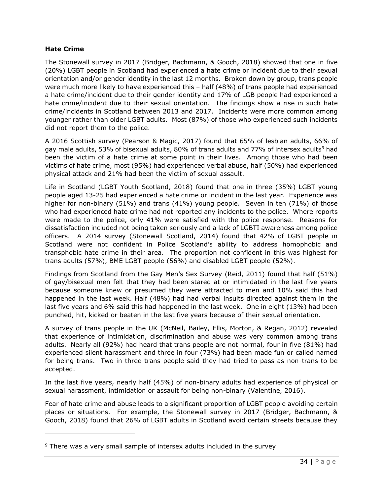#### **Hate Crime**

The Stonewall survey in 2017 (Bridger, Bachmann, & Gooch, 2018) showed that one in five (20%) LGBT people in Scotland had experienced a hate crime or incident due to their sexual orientation and/or gender identity in the last 12 months. Broken down by group, trans people were much more likely to have experienced this – half (48%) of trans people had experienced a hate crime/incident due to their gender identity and 17% of LGB people had experienced a hate crime/incident due to their sexual orientation. The findings show a rise in such hate crime/incidents in Scotland between 2013 and 2017. Incidents were more common among younger rather than older LGBT adults. Most (87%) of those who experienced such incidents did not report them to the police.

A 2016 Scottish survey (Pearson & Magic, 2017) found that 65% of lesbian adults, 66% of gay male adults, 53% of bisexual adults, 80% of trans adults and 77% of intersex adults<sup>9</sup> had been the victim of a hate crime at some point in their lives. Among those who had been victims of hate crime, most (95%) had experienced verbal abuse, half (50%) had experienced physical attack and 21% had been the victim of sexual assault.

Life in Scotland (LGBT Youth Scotland, 2018) found that one in three (35%) LGBT young people aged 13-25 had experienced a hate crime or incident in the last year. Experience was higher for non-binary (51%) and trans (41%) young people. Seven in ten (71%) of those who had experienced hate crime had not reported any incidents to the police. Where reports were made to the police, only 41% were satisfied with the police response. Reasons for dissatisfaction included not being taken seriously and a lack of LGBTI awareness among police officers. A 2014 survey (Stonewall Scotland, 2014) found that 42% of LGBT people in Scotland were not confident in Police Scotland's ability to address homophobic and transphobic hate crime in their area. The proportion not confident in this was highest for trans adults (57%), BME LGBT people (56%) and disabled LGBT people (52%).

Findings from Scotland from the Gay Men's Sex Survey (Reid, 2011) found that half (51%) of gay/bisexual men felt that they had been stared at or intimidated in the last five years because someone knew or presumed they were attracted to men and 10% said this had happened in the last week. Half (48%) had had verbal insults directed against them in the last five years and 6% said this had happened in the last week. One in eight (13%) had been punched, hit, kicked or beaten in the last five years because of their sexual orientation.

A survey of trans people in the UK (McNeil, Bailey, Ellis, Morton, & Regan, 2012) revealed that experience of intimidation, discrimination and abuse was very common among trans adults. Nearly all (92%) had heard that trans people are not normal, four in five (81%) had experienced silent harassment and three in four (73%) had been made fun or called named for being trans. Two in three trans people said they had tried to pass as non-trans to be accepted.

In the last five years, nearly half (45%) of non-binary adults had experience of physical or sexual harassment, intimidation or assault for being non-binary (Valentine, 2016).

Fear of hate crime and abuse leads to a significant proportion of LGBT people avoiding certain places or situations. For example, the Stonewall survey in 2017 (Bridger, Bachmann, & Gooch, 2018) found that 26% of LGBT adults in Scotland avoid certain streets because they

<sup>&</sup>lt;sup>9</sup> There was a very small sample of intersex adults included in the survey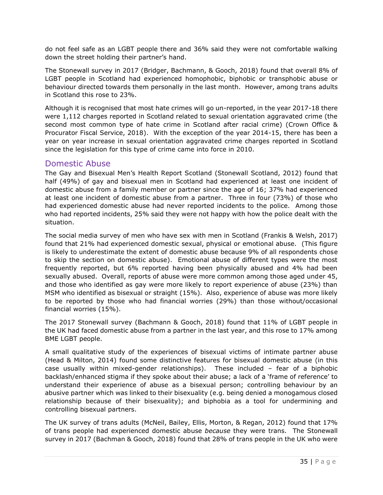do not feel safe as an LGBT people there and 36% said they were not comfortable walking down the street holding their partner's hand.

The Stonewall survey in 2017 (Bridger, Bachmann, & Gooch, 2018) found that overall 8% of LGBT people in Scotland had experienced homophobic, biphobic or transphobic abuse or behaviour directed towards them personally in the last month. However, among trans adults in Scotland this rose to 23%.

Although it is recognised that most hate crimes will go un-reported, in the year 2017-18 there were 1,112 charges reported in Scotland related to sexual orientation aggravated crime (the second most common type of hate crime in Scotland after racial crime) (Crown Office & Procurator Fiscal Service, 2018). With the exception of the year 2014-15, there has been a year on year increase in sexual orientation aggravated crime charges reported in Scotland since the legislation for this type of crime came into force in 2010.

### <span id="page-35-0"></span>Domestic Abuse

The Gay and Bisexual Men's Health Report Scotland (Stonewall Scotland, 2012) found that half (49%) of gay and bisexual men in Scotland had experienced at least one incident of domestic abuse from a family member or partner since the age of 16; 37% had experienced at least one incident of domestic abuse from a partner. Three in four (73%) of those who had experienced domestic abuse had never reported incidents to the police. Among those who had reported incidents, 25% said they were not happy with how the police dealt with the situation.

The social media survey of men who have sex with men in Scotland (Frankis & Welsh, 2017) found that 21% had experienced domestic sexual, physical or emotional abuse. (This figure is likely to underestimate the extent of domestic abuse because 9% of all respondents chose to skip the section on domestic abuse). Emotional abuse of different types were the most frequently reported, but 6% reported having been physically abused and 4% had been sexually abused. Overall, reports of abuse were more common among those aged under 45, and those who identified as gay were more likely to report experience of abuse (23%) than MSM who identified as bisexual or straight (15%). Also, experience of abuse was more likely to be reported by those who had financial worries (29%) than those without/occasional financial worries (15%).

The 2017 Stonewall survey (Bachmann & Gooch, 2018) found that 11% of LGBT people in the UK had faced domestic abuse from a partner in the last year, and this rose to 17% among BME LGBT people.

A small qualitative study of the experiences of bisexual victims of intimate partner abuse (Head & Milton, 2014) found some distinctive features for bisexual domestic abuse (in this case usually within mixed-gender relationships). These included – fear of a biphobic backlash/enhanced stigma if they spoke about their abuse; a lack of a 'frame of reference' to understand their experience of abuse as a bisexual person; controlling behaviour by an abusive partner which was linked to their bisexuality (e.g. being denied a monogamous closed relationship because of their bisexuality); and biphobia as a tool for undermining and controlling bisexual partners.

The UK survey of trans adults (McNeil, Bailey, Ellis, Morton, & Regan, 2012) found that 17% of trans people had experienced domestic abuse *because* they were trans. The Stonewall survey in 2017 (Bachman & Gooch, 2018) found that 28% of trans people in the UK who were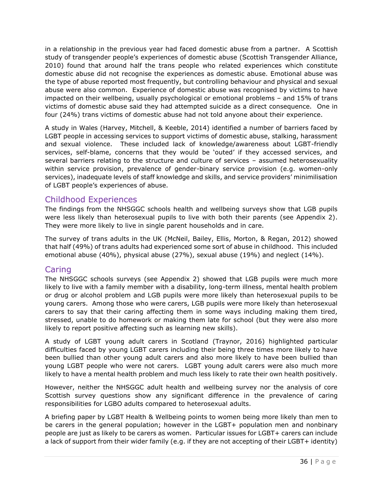in a relationship in the previous year had faced domestic abuse from a partner. A Scottish study of transgender people's experiences of domestic abuse (Scottish Transgender Alliance, 2010) found that around half the trans people who related experiences which constitute domestic abuse did not recognise the experiences as domestic abuse. Emotional abuse was the type of abuse reported most frequently, but controlling behaviour and physical and sexual abuse were also common. Experience of domestic abuse was recognised by victims to have impacted on their wellbeing, usually psychological or emotional problems – and 15% of trans victims of domestic abuse said they had attempted suicide as a direct consequence. One in four (24%) trans victims of domestic abuse had not told anyone about their experience.

A study in Wales (Harvey, Mitchell, & Keeble, 2014) identified a number of barriers faced by LGBT people in accessing services to support victims of domestic abuse, stalking, harassment and sexual violence. These included lack of knowledge/awareness about LGBT-friendly services, self-blame, concerns that they would be 'outed' if they accessed services, and several barriers relating to the structure and culture of services – assumed heterosexuality within service provision, prevalence of gender-binary service provision (e.g. women-only services), inadequate levels of staff knowledge and skills, and service providers' minimilisation of LGBT people's experiences of abuse.

# <span id="page-36-0"></span>Childhood Experiences

The findings from the NHSGGC schools health and wellbeing surveys show that LGB pupils were less likely than heterosexual pupils to live with both their parents (see Appendix 2). They were more likely to live in single parent households and in care.

The survey of trans adults in the UK (McNeil, Bailey, Ellis, Morton, & Regan, 2012) showed that half (49%) of trans adults had experienced some sort of abuse in childhood. This included emotional abuse (40%), physical abuse (27%), sexual abuse (19%) and neglect (14%).

# <span id="page-36-1"></span>Caring

The NHSGGC schools surveys (see Appendix 2) showed that LGB pupils were much more likely to live with a family member with a disability, long-term illness, mental health problem or drug or alcohol problem and LGB pupils were more likely than heterosexual pupils to be young carers. Among those who were carers, LGB pupils were more likely than heterosexual carers to say that their caring affecting them in some ways including making them tired, stressed, unable to do homework or making them late for school (but they were also more likely to report positive affecting such as learning new skills).

A study of LGBT young adult carers in Scotland (Traynor, 2016) highlighted particular difficulties faced by young LGBT carers including their being three times more likely to have been bullied than other young adult carers and also more likely to have been bullied than young LGBT people who were not carers. LGBT young adult carers were also much more likely to have a mental health problem and much less likely to rate their own health positively.

However, neither the NHSGGC adult health and wellbeing survey nor the analysis of core Scottish survey questions show any significant difference in the prevalence of caring responsibilities for LGBO adults compared to heterosexual adults.

A briefing paper by LGBT Health & Wellbeing points to women being more likely than men to be carers in the general population; however in the LGBT+ population men and nonbinary people are just as likely to be carers as women. Particular issues for LGBT+ carers can include a lack of support from their wider family (e.g. if they are not accepting of their LGBT+ identity)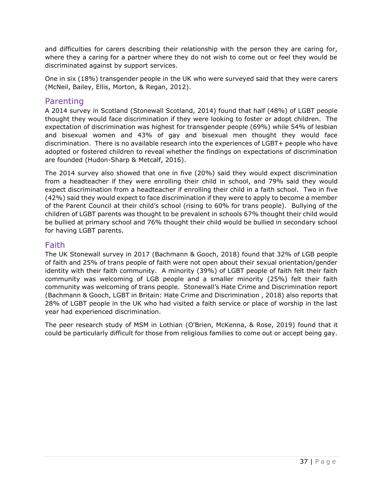and difficulties for carers describing their relationship with the person they are caring for, where they a caring for a partner where they do not wish to come out or feel they would be discriminated against by support services.

One in six (18%) transgender people in the UK who were surveyed said that they were carers (McNeil, Bailey, Ellis, Morton, & Regan, 2012).

### <span id="page-37-0"></span>Parenting

A 2014 survey in Scotland (Stonewall Scotland, 2014) found that half (48%) of LGBT people thought they would face discrimination if they were looking to foster or adopt children. The expectation of discrimination was highest for transgender people (69%) while 54% of lesbian and bisexual women and 43% of gay and bisexual men thought they would face discrimination. There is no available research into the experiences of LGBT+ people who have adopted or fostered children to reveal whether the findings on expectations of discrimination are founded (Hudon-Sharp & Metcalf, 2016).

The 2014 survey also showed that one in five (20%) said they would expect discrimination from a headteacher if they were enrolling their child in school, and 79% said they would expect discrimination from a headteacher if enrolling their child in a faith school. Two in five (42%) said they would expect to face discrimination if they were to apply to become a member of the Parent Council at their child's school (rising to 60% for trans people). Bullying of the children of LGBT parents was thought to be prevalent in schools 67% thought their child would be bullied at primary school and 76% thought their child would be bullied in secondary school for having LGBT parents.

### <span id="page-37-1"></span>Faith

The UK Stonewall survey in 2017 (Bachmann & Gooch, 2018) found that 32% of LGB people of faith and 25% of trans people of faith were not open about their sexual orientation/gender identity with their faith community. A minority (39%) of LGBT people of faith felt their faith community was welcoming of LGB people and a smaller minority (25%) felt their faith community was welcoming of trans people. Stonewall's Hate Crime and Discrimination report (Bachmann & Gooch, LGBT in Britain: Hate Crime and Discrimination , 2018) also reports that 28% of LGBT people in the UK who had visited a faith service or place of worship in the last year had experienced discrimination.

The peer research study of MSM in Lothian (O'Brien, McKenna, & Rose, 2019) found that it could be particularly difficult for those from religious families to come out or accept being gay.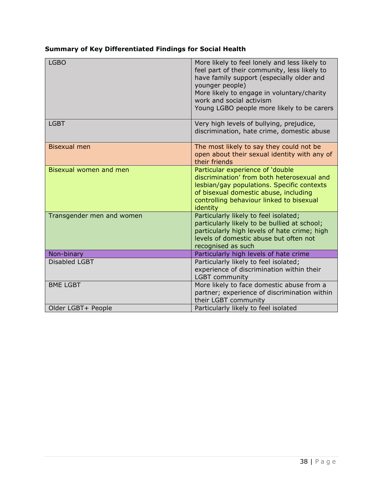### **Summary of Key Differentiated Findings for Social Health**

| <b>LGBO</b>               | More likely to feel lonely and less likely to<br>feel part of their community, less likely to<br>have family support (especially older and<br>younger people)<br>More likely to engage in voluntary/charity<br>work and social activism<br>Young LGBO people more likely to be carers |
|---------------------------|---------------------------------------------------------------------------------------------------------------------------------------------------------------------------------------------------------------------------------------------------------------------------------------|
| <b>LGBT</b>               | Very high levels of bullying, prejudice,<br>discrimination, hate crime, domestic abuse                                                                                                                                                                                                |
| <b>Bisexual men</b>       | The most likely to say they could not be<br>open about their sexual identity with any of<br>their friends                                                                                                                                                                             |
| Bisexual women and men    | Particular experience of 'double<br>discrimination' from both heterosexual and<br>lesbian/gay populations. Specific contexts<br>of bisexual domestic abuse, including<br>controlling behaviour linked to bisexual<br>identity                                                         |
| Transgender men and women | Particularly likely to feel isolated;<br>particularly likely to be bullied at school;<br>particularly high levels of hate crime; high<br>levels of domestic abuse but often not<br>recognised as such                                                                                 |
| Non-binary                | Particularly high levels of hate crime                                                                                                                                                                                                                                                |
| <b>Disabled LGBT</b>      | Particularly likely to feel isolated;<br>experience of discrimination within their<br><b>LGBT</b> community                                                                                                                                                                           |
| <b>BME LGBT</b>           | More likely to face domestic abuse from a<br>partner; experience of discrimination within<br>their LGBT community                                                                                                                                                                     |
| Older LGBT+ People        | Particularly likely to feel isolated                                                                                                                                                                                                                                                  |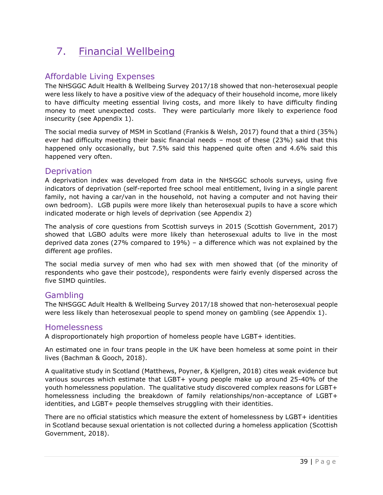# <span id="page-39-0"></span>7. Financial Wellbeing

# <span id="page-39-1"></span>Affordable Living Expenses

The NHSGGC Adult Health & Wellbeing Survey 2017/18 showed that non-heterosexual people were less likely to have a positive view of the adequacy of their household income, more likely to have difficulty meeting essential living costs, and more likely to have difficulty finding money to meet unexpected costs. They were particularly more likely to experience food insecurity (see Appendix 1).

The social media survey of MSM in Scotland (Frankis & Welsh, 2017) found that a third (35%) ever had difficulty meeting their basic financial needs – most of these (23%) said that this happened only occasionally, but 7.5% said this happened quite often and 4.6% said this happened very often.

### <span id="page-39-2"></span>**Deprivation**

A deprivation index was developed from data in the NHSGGC schools surveys, using five indicators of deprivation (self-reported free school meal entitlement, living in a single parent family, not having a car/van in the household, not having a computer and not having their own bedroom). LGB pupils were more likely than heterosexual pupils to have a score which indicated moderate or high levels of deprivation (see Appendix 2)

The analysis of core questions from Scottish surveys in 2015 (Scottish Government, 2017) showed that LGBO adults were more likely than heterosexual adults to live in the most deprived data zones (27% compared to 19%) – a difference which was not explained by the different age profiles.

The social media survey of men who had sex with men showed that (of the minority of respondents who gave their postcode), respondents were fairly evenly dispersed across the five SIMD quintiles.

# <span id="page-39-3"></span>Gambling

The NHSGGC Adult Health & Wellbeing Survey 2017/18 showed that non-heterosexual people were less likely than heterosexual people to spend money on gambling (see Appendix 1).

### <span id="page-39-4"></span>Homelessness

A disproportionately high proportion of homeless people have LGBT+ identities.

An estimated one in four trans people in the UK have been homeless at some point in their lives (Bachman & Gooch, 2018).

A qualitative study in Scotland (Matthews, Poyner, & Kjellgren, 2018) cites weak evidence but various sources which estimate that LGBT+ young people make up around 25-40% of the youth homelessness population. The qualitative study discovered complex reasons for LGBT+ homelessness including the breakdown of family relationships/non-acceptance of LGBT+ identities, and LGBT+ people themselves struggling with their identities.

There are no official statistics which measure the extent of homelessness by LGBT+ identities in Scotland because sexual orientation is not collected during a homeless application (Scottish Government, 2018).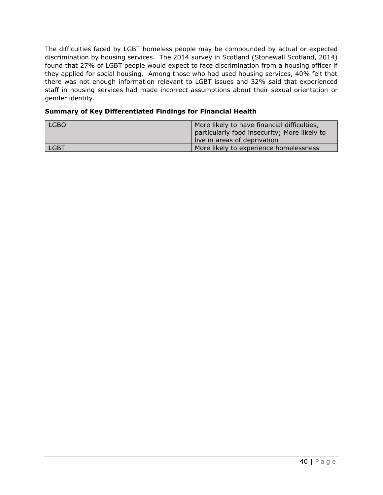The difficulties faced by LGBT homeless people may be compounded by actual or expected discrimination by housing services. The 2014 survey in Scotland (Stonewall Scotland, 2014) found that 27% of LGBT people would expect to face discrimination from a housing officer if they applied for social housing. Among those who had used housing services, 40% felt that there was not enough information relevant to LGBT issues and 32% said that experienced staff in housing services had made incorrect assumptions about their sexual orientation or gender identity.

#### **Summary of Key Differentiated Findings for Financial Health**

| <b>LGBO</b> | More likely to have financial difficulties,<br>particularly food insecurity; More likely to |
|-------------|---------------------------------------------------------------------------------------------|
|             | live in areas of deprivation                                                                |
| LGBT        | More likely to experience homelessness                                                      |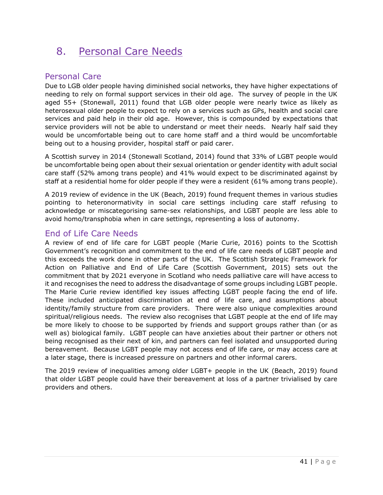# <span id="page-41-0"></span>8. Personal Care Needs

# <span id="page-41-1"></span>Personal Care

Due to LGB older people having diminished social networks, they have higher expectations of needing to rely on formal support services in their old age. The survey of people in the UK aged 55+ (Stonewall, 2011) found that LGB older people were nearly twice as likely as heterosexual older people to expect to rely on a services such as GPs, health and social care services and paid help in their old age. However, this is compounded by expectations that service providers will not be able to understand or meet their needs. Nearly half said they would be uncomfortable being out to care home staff and a third would be uncomfortable being out to a housing provider, hospital staff or paid carer.

A Scottish survey in 2014 (Stonewall Scotland, 2014) found that 33% of LGBT people would be uncomfortable being open about their sexual orientation or gender identity with adult social care staff (52% among trans people) and 41% would expect to be discriminated against by staff at a residential home for older people if they were a resident (61% among trans people).

A 2019 review of evidence in the UK (Beach, 2019) found frequent themes in various studies pointing to heteronormativity in social care settings including care staff refusing to acknowledge or miscategorising same-sex relationships, and LGBT people are less able to avoid homo/transphobia when in care settings, representing a loss of autonomy.

# <span id="page-41-2"></span>End of Life Care Needs

A review of end of life care for LGBT people (Marie Curie, 2016) points to the Scottish Government's recognition and commitment to the end of life care needs of LGBT people and this exceeds the work done in other parts of the UK. The Scottish Strategic Framework for Action on Palliative and End of Life Care (Scottish Government, 2015) sets out the commitment that by 2021 everyone in Scotland who needs palliative care will have access to it and recognises the need to address the disadvantage of some groups including LGBT people. The Marie Curie review identified key issues affecting LGBT people facing the end of life. These included anticipated discrimination at end of life care, and assumptions about identity/family structure from care providers. There were also unique complexities around spiritual/religious needs. The review also recognises that LGBT people at the end of life may be more likely to choose to be supported by friends and support groups rather than (or as well as) biological family. LGBT people can have anxieties about their partner or others not being recognised as their next of kin, and partners can feel isolated and unsupported during bereavement. Because LGBT people may not access end of life care, or may access care at a later stage, there is increased pressure on partners and other informal carers.

The 2019 review of inequalities among older LGBT+ people in the UK (Beach, 2019) found that older LGBT people could have their bereavement at loss of a partner trivialised by care providers and others.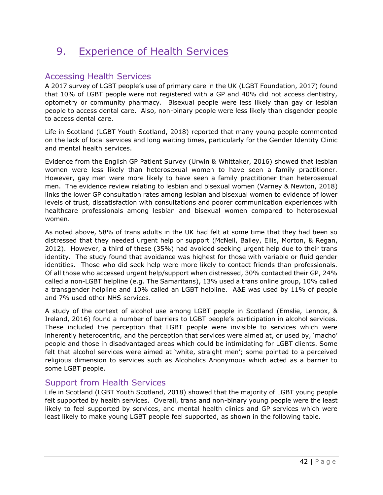# <span id="page-42-0"></span>9. Experience of Health Services

# <span id="page-42-1"></span>Accessing Health Services

A 2017 survey of LGBT people's use of primary care in the UK (LGBT Foundation, 2017) found that 10% of LGBT people were not registered with a GP and 40% did not access dentistry, optometry or community pharmacy. Bisexual people were less likely than gay or lesbian people to access dental care. Also, non-binary people were less likely than cisgender people to access dental care.

Life in Scotland (LGBT Youth Scotland, 2018) reported that many young people commented on the lack of local services and long waiting times, particularly for the Gender Identity Clinic and mental health services.

Evidence from the English GP Patient Survey (Urwin & Whittaker, 2016) showed that lesbian women were less likely than heterosexual women to have seen a family practitioner. However, gay men were more likely to have seen a family practitioner than heterosexual men. The evidence review relating to lesbian and bisexual women (Varney & Newton, 2018) links the lower GP consultation rates among lesbian and bisexual women to evidence of lower levels of trust, dissatisfaction with consultations and poorer communication experiences with healthcare professionals among lesbian and bisexual women compared to heterosexual women.

As noted above, 58% of trans adults in the UK had felt at some time that they had been so distressed that they needed urgent help or support (McNeil, Bailey, Ellis, Morton, & Regan, 2012). However, a third of these (35%) had avoided seeking urgent help due to their trans identity. The study found that avoidance was highest for those with variable or fluid gender identities. Those who did seek help were more likely to contact friends than professionals. Of all those who accessed urgent help/support when distressed, 30% contacted their GP, 24% called a non-LGBT helpline (e.g. The Samaritans), 13% used a trans online group, 10% called a transgender helpline and 10% called an LGBT helpline. A&E was used by 11% of people and 7% used other NHS services.

A study of the context of alcohol use among LGBT people in Scotland (Emslie, Lennox, & Ireland, 2016) found a number of barriers to LGBT people's participation in alcohol services. These included the perception that LGBT people were invisible to services which were inherently heterocentric, and the perception that services were aimed at, or used by, 'macho' people and those in disadvantaged areas which could be intimidating for LGBT clients. Some felt that alcohol services were aimed at 'white, straight men'; some pointed to a perceived religious dimension to services such as Alcoholics Anonymous which acted as a barrier to some LGBT people.

### <span id="page-42-2"></span>Support from Health Services

Life in Scotland (LGBT Youth Scotland, 2018) showed that the majority of LGBT young people felt supported by health services. Overall, trans and non-binary young people were the least likely to feel supported by services, and mental health clinics and GP services which were least likely to make young LGBT people feel supported, as shown in the following table.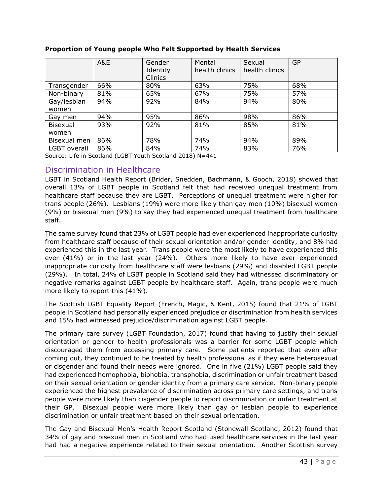|                     | A&E | Gender<br>Identity<br>Clinics | Mental<br>health clinics | Sexual<br>health clinics | GP  |
|---------------------|-----|-------------------------------|--------------------------|--------------------------|-----|
| Transgender         | 66% | 80%                           | 63%                      | 75%                      | 68% |
| Non-binary          | 81% | 65%                           | 67%                      | 75%                      | 57% |
| Gay/lesbian         | 94% | 92%                           | 84%                      | 94%                      | 80% |
| women               |     |                               |                          |                          |     |
| Gay men             | 94% | 95%                           | 86%                      | 98%                      | 86% |
| <b>Bisexual</b>     | 93% | 92%                           | 81%                      | 85%                      | 81% |
| women               |     |                               |                          |                          |     |
| Bisexual men        | 86% | 78%                           | 74%                      | 94%                      | 89% |
| <b>LGBT</b> overall | 86% | 84%                           | 74%                      | 83%                      | 76% |

#### **Proportion of Young people Who Felt Supported by Health Services**

Source: Life in Scotland (LGBT Youth Scotland 2018) N=441

### <span id="page-43-0"></span>Discrimination in Healthcare

LGBT in Scotland Health Report (Brider, Snedden, Bachmann, & Gooch, 2018) showed that overall 13% of LGBT people in Scotland felt that had received unequal treatment from healthcare staff because they are LGBT. Perceptions of unequal treatment were higher for trans people (26%). Lesbians (19%) were more likely than gay men (10%) bisexual women (9%) or bisexual men (9%) to say they had experienced unequal treatment from healthcare staff.

The same survey found that 23% of LGBT people had ever experienced inappropriate curiosity from healthcare staff because of their sexual orientation and/or gender identity, and 8% had experienced this in the last year. Trans people were the most likely to have experienced this ever (41%) or in the last year (24%). Others more likely to have ever experienced inappropriate curiosity from healthcare staff were lesbians (29%) and disabled LGBT people (29%). In total, 24% of LGBT people in Scotland said they had witnessed discriminatory or negative remarks against LGBT people by healthcare staff. Again, trans people were much more likely to report this (41%).

The Scottish LGBT Equality Report (French, Magic, & Kent, 2015) found that 21% of LGBT people in Scotland had personally experienced prejudice or discrimination from health services and 15% had witnessed prejudice/discrimination against LGBT people.

The primary care survey (LGBT Foundation, 2017) found that having to justify their sexual orientation or gender to health professionals was a barrier for some LGBT people which discouraged them from accessing primary care. Some patients reported that even after coming out, they continued to be treated by health professional as if they were heterosexual or cisgender and found their needs were ignored. One in five (21%) LGBT people said they had experienced homophobia, biphobia, transphobia, discrimination or unfair treatment based on their sexual orientation or gender identity from a primary care service. Non-binary people experienced the highest prevalence of discrimination across primary care settings, and trans people were more likely than cisgender people to report discrimination or unfair treatment at their GP. Bisexual people were more likely than gay or lesbian people to experience discrimination or unfair treatment based on their sexual orientation.

The Gay and Bisexual Men's Health Report Scotland (Stonewall Scotland, 2012) found that 34% of gay and bisexual men in Scotland who had used healthcare services in the last year had had a negative experience related to their sexual orientation. Another Scottish survey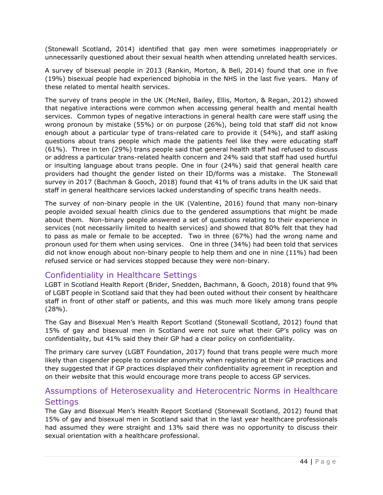(Stonewall Scotland, 2014) identified that gay men were sometimes inappropriately or unnecessarily questioned about their sexual health when attending unrelated health services.

A survey of bisexual people in 2013 (Rankin, Morton, & Bell, 2014) found that one in five (19%) bisexual people had experienced biphobia in the NHS in the last five years. Many of these related to mental health services.

The survey of trans people in the UK (McNeil, Bailey, Ellis, Morton, & Regan, 2012) showed that negative interactions were common when accessing general health and mental health services. Common types of negative interactions in general health care were staff using the wrong pronoun by mistake (55%) or on purpose (26%), being told that staff did not know enough about a particular type of trans-related care to provide it (54%), and staff asking questions about trans people which made the patients feel like they were educating staff (61%). Three in ten (29%) trans people said that general health staff had refused to discuss or address a particular trans-related health concern and 24% said that staff had used hurtful or insulting language about trans people. One in four (24%) said that general health care providers had thought the gender listed on their ID/forms was a mistake. The Stonewall survey in 2017 (Bachman & Gooch, 2018) found that 41% of trans adults in the UK said that staff in general healthcare services lacked understanding of specific trans health needs.

The survey of non-binary people in the UK (Valentine, 2016) found that many non-binary people avoided sexual health clinics due to the gendered assumptions that might be made about them. Non-binary people answered a set of questions relating to their experience in services (not necessarily limited to health services) and showed that 80% felt that they had to pass as male or female to be accepted. Two in three (67%) had the wrong name and pronoun used for them when using services. One in three (34%) had been told that services did not know enough about non-binary people to help them and one in nine (11%) had been refused service or had services stopped because they were non-binary.

### <span id="page-44-0"></span>Confidentiality in Healthcare Settings

LGBT in Scotland Health Report (Brider, Snedden, Bachmann, & Gooch, 2018) found that 9% of LGBT people in Scotland said that they had been outed without their consent by healthcare staff in front of other staff or patients, and this was much more likely among trans people (28%).

The Gay and Bisexual Men's Health Report Scotland (Stonewall Scotland, 2012) found that 15% of gay and bisexual men in Scotland were not sure what their GP's policy was on confidentiality, but 41% said they their GP had a clear policy on confidentiality.

The primary care survey (LGBT Foundation, 2017) found that trans people were much more likely than cisgender people to consider anonymity when registering at their GP practices and they suggested that if GP practices displayed their confidentiality agreement in reception and on their website that this would encourage more trans people to access GP services.

# <span id="page-44-1"></span>Assumptions of Heterosexuality and Heterocentric Norms in Healthcare **Settings**

The Gay and Bisexual Men's Health Report Scotland (Stonewall Scotland, 2012) found that 15% of gay and bisexual men in Scotland said that in the last year healthcare professionals had assumed they were straight and 13% said there was no opportunity to discuss their sexual orientation with a healthcare professional.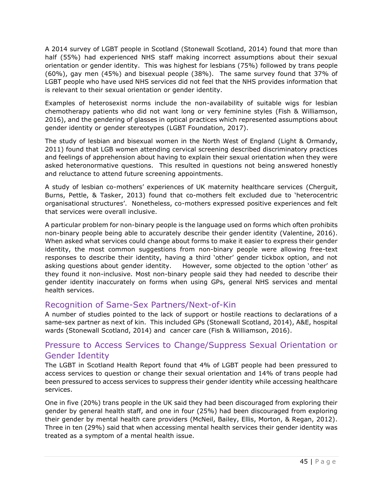A 2014 survey of LGBT people in Scotland (Stonewall Scotland, 2014) found that more than half (55%) had experienced NHS staff making incorrect assumptions about their sexual orientation or gender identity. This was highest for lesbians (75%) followed by trans people (60%), gay men (45%) and bisexual people (38%). The same survey found that 37% of LGBT people who have used NHS services did not feel that the NHS provides information that is relevant to their sexual orientation or gender identity.

Examples of heterosexist norms include the non-availability of suitable wigs for lesbian chemotherapy patients who did not want long or very feminine styles (Fish & Williamson, 2016), and the gendering of glasses in optical practices which represented assumptions about gender identity or gender stereotypes (LGBT Foundation, 2017).

The study of lesbian and bisexual women in the North West of England (Light & Ormandy, 2011) found that LGB women attending cervical screening described discriminatory practices and feelings of apprehension about having to explain their sexual orientation when they were asked heteronormative questions. This resulted in questions not being answered honestly and reluctance to attend future screening appointments.

A study of lesbian co-mothers' experiences of UK maternity healthcare services (Cherguit, Burns, Pettle, & Tasker, 2013) found that co-mothers felt excluded due to 'heterocentric organisational structures'. Nonetheless, co-mothers expressed positive experiences and felt that services were overall inclusive.

A particular problem for non-binary people is the language used on forms which often prohibits non-binary people being able to accurately describe their gender identity (Valentine, 2016). When asked what services could change about forms to make it easier to express their gender identity, the most common suggestions from non-binary people were allowing free-text responses to describe their identity, having a third 'other' gender tickbox option, and not asking questions about gender identity. However, some objected to the option 'other' as they found it non-inclusive. Most non-binary people said they had needed to describe their gender identity inaccurately on forms when using GPs, general NHS services and mental health services.

### <span id="page-45-0"></span>Recognition of Same-Sex Partners/Next-of-Kin

A number of studies pointed to the lack of support or hostile reactions to declarations of a same-sex partner as next of kin. This included GPs (Stonewall Scotland, 2014), A&E, hospital wards (Stonewall Scotland, 2014) and cancer care (Fish & Williamson, 2016).

# <span id="page-45-1"></span>Pressure to Access Services to Change/Suppress Sexual Orientation or Gender Identity

The LGBT in Scotland Health Report found that 4% of LGBT people had been pressured to access services to question or change their sexual orientation and 14% of trans people had been pressured to access services to suppress their gender identity while accessing healthcare services.

One in five (20%) trans people in the UK said they had been discouraged from exploring their gender by general health staff, and one in four (25%) had been discouraged from exploring their gender by mental health care providers (McNeil, Bailey, Ellis, Morton, & Regan, 2012). Three in ten (29%) said that when accessing mental health services their gender identity was treated as a symptom of a mental health issue.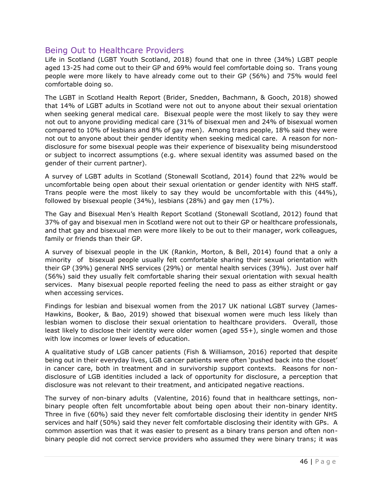### <span id="page-46-0"></span>Being Out to Healthcare Providers

Life in Scotland (LGBT Youth Scotland, 2018) found that one in three (34%) LGBT people aged 13-25 had come out to their GP and 69% would feel comfortable doing so. Trans young people were more likely to have already come out to their GP (56%) and 75% would feel comfortable doing so.

The LGBT in Scotland Health Report (Brider, Snedden, Bachmann, & Gooch, 2018) showed that 14% of LGBT adults in Scotland were not out to anyone about their sexual orientation when seeking general medical care. Bisexual people were the most likely to say they were not out to anyone providing medical care (31% of bisexual men and 24% of bisexual women compared to 10% of lesbians and 8% of gay men). Among trans people, 18% said they were not out to anyone about their gender identity when seeking medical care. A reason for nondisclosure for some bisexual people was their experience of bisexuality being misunderstood or subject to incorrect assumptions (e.g. where sexual identity was assumed based on the gender of their current partner).

A survey of LGBT adults in Scotland (Stonewall Scotland, 2014) found that 22% would be uncomfortable being open about their sexual orientation or gender identity with NHS staff. Trans people were the most likely to say they would be uncomfortable with this (44%), followed by bisexual people (34%), lesbians (28%) and gay men (17%).

The Gay and Bisexual Men's Health Report Scotland (Stonewall Scotland, 2012) found that 37% of gay and bisexual men in Scotland were not out to their GP or healthcare professionals, and that gay and bisexual men were more likely to be out to their manager, work colleagues, family or friends than their GP.

A survey of bisexual people in the UK (Rankin, Morton, & Bell, 2014) found that a only a minority of bisexual people usually felt comfortable sharing their sexual orientation with their GP (39%) general NHS services (29%) or mental health services (39%). Just over half (56%) said they usually felt comfortable sharing their sexual orientation with sexual health services. Many bisexual people reported feeling the need to pass as either straight or gay when accessing services.

Findings for lesbian and bisexual women from the 2017 UK national LGBT survey (James-Hawkins, Booker, & Bao, 2019) showed that bisexual women were much less likely than lesbian women to disclose their sexual orientation to healthcare providers. Overall, those least likely to disclose their identity were older women (aged 55+), single women and those with low incomes or lower levels of education.

A qualitative study of LGB cancer patients (Fish & Williamson, 2016) reported that despite being out in their everyday lives, LGB cancer patients were often 'pushed back into the closet' in cancer care, both in treatment and in survivorship support contexts. Reasons for nondisclosure of LGB identities included a lack of opportunity for disclosure, a perception that disclosure was not relevant to their treatment, and anticipated negative reactions.

The survey of non-binary adults (Valentine, 2016) found that in healthcare settings, nonbinary people often felt uncomfortable about being open about their non-binary identity. Three in five (60%) said they never felt comfortable disclosing their identity in gender NHS services and half (50%) said they never felt comfortable disclosing their identity with GPs. A common assertion was that it was easier to present as a binary trans person and often nonbinary people did not correct service providers who assumed they were binary trans; it was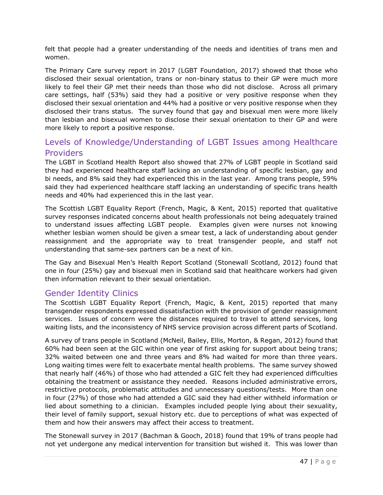felt that people had a greater understanding of the needs and identities of trans men and women.

The Primary Care survey report in 2017 (LGBT Foundation, 2017) showed that those who disclosed their sexual orientation, trans or non-binary status to their GP were much more likely to feel their GP met their needs than those who did not disclose. Across all primary care settings, half (53%) said they had a positive or very positive response when they disclosed their sexual orientation and 44% had a positive or very positive response when they disclosed their trans status. The survey found that gay and bisexual men were more likely than lesbian and bisexual women to disclose their sexual orientation to their GP and were more likely to report a positive response.

# <span id="page-47-0"></span>Levels of Knowledge/Understanding of LGBT Issues among Healthcare Providers

The LGBT in Scotland Health Report also showed that 27% of LGBT people in Scotland said they had experienced healthcare staff lacking an understanding of specific lesbian, gay and bi needs, and 8% said they had experienced this in the last year. Among trans people, 59% said they had experienced healthcare staff lacking an understanding of specific trans health needs and 40% had experienced this in the last year.

The Scottish LGBT Equality Report (French, Magic, & Kent, 2015) reported that qualitative survey responses indicated concerns about health professionals not being adequately trained to understand issues affecting LGBT people. Examples given were nurses not knowing whether lesbian women should be given a smear test, a lack of understanding about gender reassignment and the appropriate way to treat transgender people, and staff not understanding that same-sex partners can be a next of kin.

The Gay and Bisexual Men's Health Report Scotland (Stonewall Scotland, 2012) found that one in four (25%) gay and bisexual men in Scotland said that healthcare workers had given then information relevant to their sexual orientation.

# <span id="page-47-1"></span>Gender Identity Clinics

The Scottish LGBT Equality Report (French, Magic, & Kent, 2015) reported that many transgender respondents expressed dissatisfaction with the provision of gender reassignment services. Issues of concern were the distances required to travel to attend services, long waiting lists, and the inconsistency of NHS service provision across different parts of Scotland.

A survey of trans people in Scotland (McNeil, Bailey, Ellis, Morton, & Regan, 2012) found that 60% had been seen at the GIC within one year of first asking for support about being trans; 32% waited between one and three years and 8% had waited for more than three years. Long waiting times were felt to exacerbate mental health problems. The same survey showed that nearly half (46%) of those who had attended a GIC felt they had experienced difficulties obtaining the treatment or assistance they needed. Reasons included administrative errors, restrictive protocols, problematic attitudes and unnecessary questions/tests. More than one in four (27%) of those who had attended a GIC said they had either withheld information or lied about something to a clinician. Examples included people lying about their sexuality, their level of family support, sexual history etc. due to perceptions of what was expected of them and how their answers may affect their access to treatment.

The Stonewall survey in 2017 (Bachman & Gooch, 2018) found that 19% of trans people had not yet undergone any medical intervention for transition but wished it. This was lower than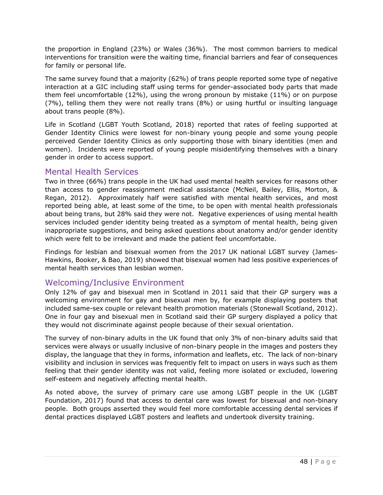the proportion in England (23%) or Wales (36%). The most common barriers to medical interventions for transition were the waiting time, financial barriers and fear of consequences for family or personal life.

The same survey found that a majority (62%) of trans people reported some type of negative interaction at a GIC including staff using terms for gender-associated body parts that made them feel uncomfortable (12%), using the wrong pronoun by mistake (11%) or on purpose (7%), telling them they were not really trans (8%) or using hurtful or insulting language about trans people (8%).

Life in Scotland (LGBT Youth Scotland, 2018) reported that rates of feeling supported at Gender Identity Clinics were lowest for non-binary young people and some young people perceived Gender Identity Clinics as only supporting those with binary identities (men and women). Incidents were reported of young people misidentifying themselves with a binary gender in order to access support.

### <span id="page-48-0"></span>Mental Health Services

Two in three (66%) trans people in the UK had used mental health services for reasons other than access to gender reassignment medical assistance (McNeil, Bailey, Ellis, Morton, & Regan, 2012). Approximately half were satisfied with mental health services, and most reported being able, at least some of the time, to be open with mental health professionals about being trans, but 28% said they were not. Negative experiences of using mental health services included gender identity being treated as a symptom of mental health, being given inappropriate suggestions, and being asked questions about anatomy and/or gender identity which were felt to be irrelevant and made the patient feel uncomfortable.

Findings for lesbian and bisexual women from the 2017 UK national LGBT survey (James-Hawkins, Booker, & Bao, 2019) showed that bisexual women had less positive experiences of mental health services than lesbian women.

### <span id="page-48-1"></span>Welcoming/Inclusive Environment

Only 12% of gay and bisexual men in Scotland in 2011 said that their GP surgery was a welcoming environment for gay and bisexual men by, for example displaying posters that included same-sex couple or relevant health promotion materials (Stonewall Scotland, 2012). One in four gay and bisexual men in Scotland said their GP surgery displayed a policy that they would not discriminate against people because of their sexual orientation.

The survey of non-binary adults in the UK found that only 3% of non-binary adults said that services were always or usually inclusive of non-binary people in the images and posters they display, the language that they in forms, information and leaflets, etc. The lack of non-binary visibility and inclusion in services was frequently felt to impact on users in ways such as them feeling that their gender identity was not valid, feeling more isolated or excluded, lowering self-esteem and negatively affecting mental health.

As noted above, the survey of primary care use among LGBT people in the UK (LGBT Foundation, 2017) found that access to dental care was lowest for bisexual and non-binary people. Both groups asserted they would feel more comfortable accessing dental services if dental practices displayed LGBT posters and leaflets and undertook diversity training.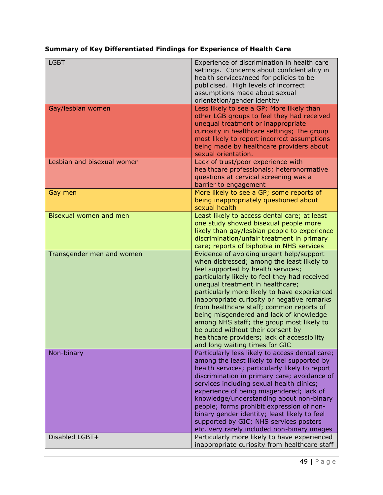# **Summary of Key Differentiated Findings for Experience of Health Care**

| <b>LGBT</b>                | Experience of discrimination in health care<br>settings. Concerns about confidentiality in<br>health services/need for policies to be<br>publicised. High levels of incorrect<br>assumptions made about sexual<br>orientation/gender identity                                                                                                                                                                                                                                                                                                                              |
|----------------------------|----------------------------------------------------------------------------------------------------------------------------------------------------------------------------------------------------------------------------------------------------------------------------------------------------------------------------------------------------------------------------------------------------------------------------------------------------------------------------------------------------------------------------------------------------------------------------|
| Gay/lesbian women          | Less likely to see a GP; More likely than<br>other LGB groups to feel they had received<br>unequal treatment or inappropriate<br>curiosity in healthcare settings; The group<br>most likely to report incorrect assumptions<br>being made by healthcare providers about<br>sexual orientation.                                                                                                                                                                                                                                                                             |
| Lesbian and bisexual women | Lack of trust/poor experience with<br>healthcare professionals; heteronormative<br>questions at cervical screening was a<br>barrier to engagement                                                                                                                                                                                                                                                                                                                                                                                                                          |
| Gay men                    | More likely to see a GP; some reports of<br>being inappropriately questioned about<br>sexual health                                                                                                                                                                                                                                                                                                                                                                                                                                                                        |
| Bisexual women and men     | Least likely to access dental care; at least<br>one study showed bisexual people more<br>likely than gay/lesbian people to experience<br>discrimination/unfair treatment in primary<br>care; reports of biphobia in NHS services                                                                                                                                                                                                                                                                                                                                           |
| Transgender men and women  | Evidence of avoiding urgent help/support<br>when distressed; among the least likely to<br>feel supported by health services;<br>particularly likely to feel they had received<br>unequal treatment in healthcare;<br>particularly more likely to have experienced<br>inappropriate curiosity or negative remarks<br>from healthcare staff; common reports of<br>being misgendered and lack of knowledge<br>among NHS staff; the group most likely to<br>be outed without their consent by<br>healthcare providers; lack of accessibility<br>and long waiting times for GIC |
| Non-binary                 | Particularly less likely to access dental care;<br>among the least likely to feel supported by<br>health services; particularly likely to report<br>discrimination in primary care; avoidance of<br>services including sexual health clinics;<br>experience of being misgendered; lack of<br>knowledge/understanding about non-binary<br>people; forms prohibit expression of non-<br>binary gender identity; least likely to feel<br>supported by GIC; NHS services posters<br>etc. very rarely included non-binary images                                                |
| Disabled LGBT+             | Particularly more likely to have experienced<br>inappropriate curiosity from healthcare staff                                                                                                                                                                                                                                                                                                                                                                                                                                                                              |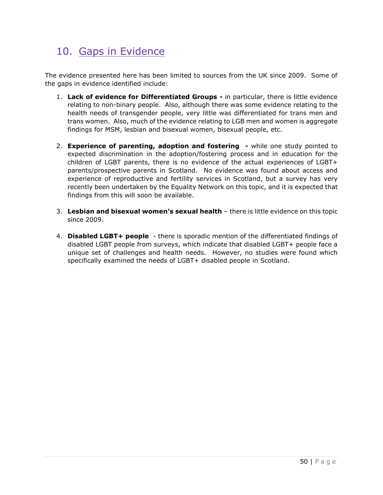# <span id="page-50-0"></span>10. Gaps in Evidence

The evidence presented here has been limited to sources from the UK since 2009. Some of the gaps in evidence identified include:

- 1. **Lack of evidence for Differentiated Groups -** in particular, there is little evidence relating to non-binary people. Also, although there was some evidence relating to the health needs of transgender people, very little was differentiated for trans men and trans women. Also, much of the evidence relating to LGB men and women is aggregate findings for MSM, lesbian and bisexual women, bisexual people, etc.
- 2. **Experience of parenting, adoption and fostering -** while one study pointed to expected discrimination in the adoption/fostering process and in education for the children of LGBT parents, there is no evidence of the actual experiences of LGBT+ parents/prospective parents in Scotland. No evidence was found about access and experience of reproductive and fertility services in Scotland, but a survey has very recently been undertaken by the Equality Network on this topic, and it is expected that findings from this will soon be available.
- 3. **Lesbian and bisexual women's sexual health** there is little evidence on this topic since 2009.
- 4. **Disabled LGBT+ people** there is sporadic mention of the differentiated findings of disabled LGBT people from surveys, which indicate that disabled LGBT+ people face a unique set of challenges and health needs. However, no studies were found which specifically examined the needs of LGBT+ disabled people in Scotland.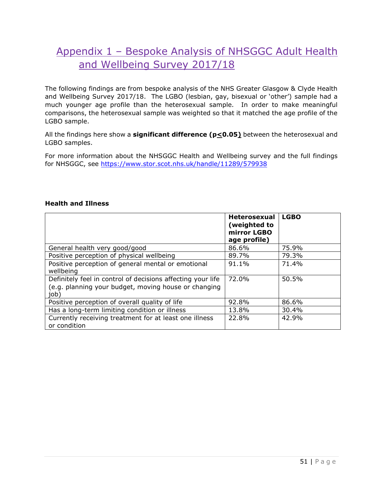# <span id="page-51-0"></span>Appendix 1 – Bespoke Analysis of NHSGGC Adult Health and Wellbeing Survey 2017/18

The following findings are from bespoke analysis of the NHS Greater Glasgow & Clyde Health and Wellbeing Survey 2017/18. The LGBO (lesbian, gay, bisexual or 'other') sample had a much younger age profile than the heterosexual sample. In order to make meaningful comparisons, the heterosexual sample was weighted so that it matched the age profile of the LGBO sample.

All the findings here show a **significant difference (p<0.05)** between the heterosexual and LGBO samples.

For more information about the NHSGGC Health and Wellbeing survey and the full findings for NHSGGC, see<https://www.stor.scot.nhs.uk/handle/11289/579938>

#### **Health and Illness**

|                                                                                                                             | <b>Heterosexual</b><br>(weighted to<br>mirror LGBO<br>age profile) | <b>LGBO</b> |
|-----------------------------------------------------------------------------------------------------------------------------|--------------------------------------------------------------------|-------------|
| General health very good/good                                                                                               | 86.6%                                                              | 75.9%       |
| Positive perception of physical wellbeing                                                                                   | 89.7%                                                              | 79.3%       |
| Positive perception of general mental or emotional<br>wellbeing                                                             | 91.1%                                                              | 71.4%       |
| Definitely feel in control of decisions affecting your life<br>(e.g. planning your budget, moving house or changing<br>job) | 72.0%                                                              | 50.5%       |
| Positive perception of overall quality of life                                                                              | 92.8%                                                              | 86.6%       |
| Has a long-term limiting condition or illness                                                                               | 13.8%                                                              | 30.4%       |
| Currently receiving treatment for at least one illness<br>or condition                                                      | 22.8%                                                              | 42.9%       |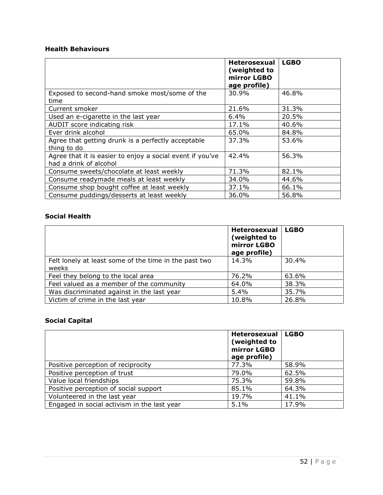#### **Health Behaviours**

|                                                                                     | <b>Heterosexual</b><br>(weighted to<br>mirror LGBO<br>age profile) | <b>LGBO</b> |
|-------------------------------------------------------------------------------------|--------------------------------------------------------------------|-------------|
| Exposed to second-hand smoke most/some of the                                       | 30.9%                                                              | 46.8%       |
| time                                                                                |                                                                    |             |
| Current smoker                                                                      | 21.6%                                                              | 31.3%       |
| Used an e-cigarette in the last year                                                | $6.4\%$                                                            | 20.5%       |
| AUDIT score indicating risk                                                         | 17.1%                                                              | 40.6%       |
| Ever drink alcohol                                                                  | 65.0%                                                              | 84.8%       |
| Agree that getting drunk is a perfectly acceptable<br>thing to do                   | 37.3%                                                              | 53.6%       |
| Agree that it is easier to enjoy a social event if you've<br>had a drink of alcohol | 42.4%                                                              | 56.3%       |
| Consume sweets/chocolate at least weekly                                            | 71.3%                                                              | 82.1%       |
| Consume readymade meals at least weekly                                             | 34.0%                                                              | 44.6%       |
| Consume shop bought coffee at least weekly                                          | 37.1%                                                              | 66.1%       |
| Consume puddings/desserts at least weekly                                           | 36.0%                                                              | 56.8%       |

### **Social Health**

|                                                                | <b>Heterosexual</b><br>(weighted to<br>mirror LGBO<br>age profile) | <b>LGBO</b> |
|----------------------------------------------------------------|--------------------------------------------------------------------|-------------|
| Felt lonely at least some of the time in the past two<br>weeks | 14.3%                                                              | 30.4%       |
| Feel they belong to the local area                             | 76.2%                                                              | 63.6%       |
| Feel valued as a member of the community                       | 64.0%                                                              | 38.3%       |
| Was discriminated against in the last year                     | 5.4%                                                               | 35.7%       |
| Victim of crime in the last year                               | 10.8%                                                              | 26.8%       |

### **Social Capital**

|                                             | <b>Heterosexual</b><br>(weighted to<br>mirror LGBO<br>age profile) | <b>LGBO</b> |
|---------------------------------------------|--------------------------------------------------------------------|-------------|
| Positive perception of reciprocity          | 77.3%                                                              | 58.9%       |
| Positive perception of trust                | 79.0%                                                              | 62.5%       |
| Value local friendships                     | 75.3%                                                              | 59.8%       |
| Positive perception of social support       | 85.1%                                                              | 64.3%       |
| Volunteered in the last year                | 19.7%                                                              | 41.1%       |
| Engaged in social activism in the last year | 5.1%                                                               | 17.9%       |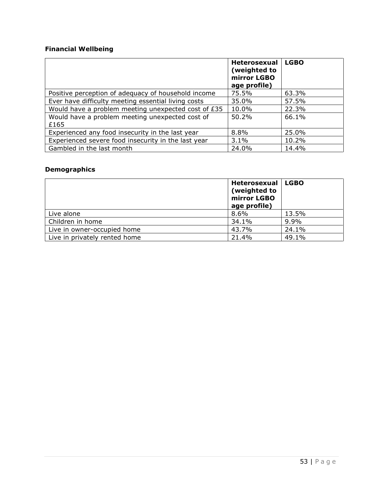### **Financial Wellbeing**

|                                                         | <b>Heterosexual</b><br>(weighted to<br>mirror LGBO<br>age profile) | <b>LGBO</b> |
|---------------------------------------------------------|--------------------------------------------------------------------|-------------|
| Positive perception of adequacy of household income     | 75.5%                                                              | 63.3%       |
| Ever have difficulty meeting essential living costs     | 35.0%                                                              | 57.5%       |
| Would have a problem meeting unexpected cost of £35     | 10.0%                                                              | 22.3%       |
| Would have a problem meeting unexpected cost of<br>£165 | $50.2\%$                                                           | 66.1%       |
| Experienced any food insecurity in the last year        | 8.8%                                                               | 25.0%       |
| Experienced severe food insecurity in the last year     | 3.1%                                                               | 10.2%       |
| Gambled in the last month                               | 24.0%                                                              | 14.4%       |

### **Demographics**

|                               | <b>Heterosexual</b><br>(weighted to<br>mirror LGBO<br>age profile) | <b>LGBO</b> |
|-------------------------------|--------------------------------------------------------------------|-------------|
| Live alone                    | 8.6%                                                               | 13.5%       |
| Children in home              | 34.1%                                                              | 9.9%        |
| Live in owner-occupied home   | 43.7%                                                              | 24.1%       |
| Live in privately rented home | 21.4%                                                              | 49.1%       |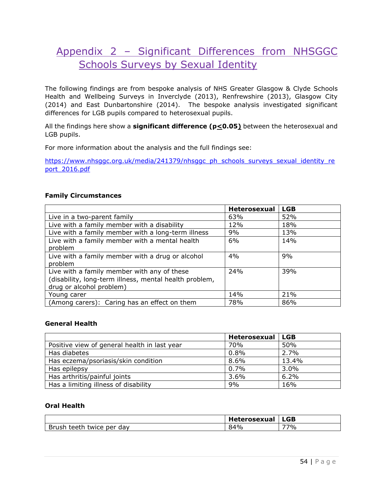# <span id="page-54-0"></span>Appendix 2 – Significant Differences from NHSGGC Schools Surveys by Sexual Identity

The following findings are from bespoke analysis of NHS Greater Glasgow & Clyde Schools Health and Wellbeing Surveys in Inverclyde (2013), Renfrewshire (2013), Glasgow City (2014) and East Dunbartonshire (2014). The bespoke analysis investigated significant differences for LGB pupils compared to heterosexual pupils.

All the findings here show a **significant difference (p<0.05)** between the heterosexual and LGB pupils.

For more information about the analysis and the full findings see:

[https://www.nhsggc.org.uk/media/241379/nhsggc\\_ph\\_schools\\_surveys\\_sexual\\_identity\\_re](https://www.nhsggc.org.uk/media/241379/nhsggc_ph_schools_surveys_sexual_identity_report_2016.pdf) [port\\_2016.pdf](https://www.nhsggc.org.uk/media/241379/nhsggc_ph_schools_surveys_sexual_identity_report_2016.pdf)

#### **Family Circumstances**

|                                                        | <b>Heterosexual</b> | <b>LGB</b> |
|--------------------------------------------------------|---------------------|------------|
| Live in a two-parent family                            | 63%                 | 52%        |
| Live with a family member with a disability            | 12%                 | 18%        |
| Live with a family member with a long-term illness     | 9%                  | 13%        |
| Live with a family member with a mental health         | 6%                  | 14%        |
| problem                                                |                     |            |
| Live with a family member with a drug or alcohol       | 4%                  | 9%         |
| problem                                                |                     |            |
| Live with a family member with any of these            | 24%                 | 39%        |
| (disability, long-term illness, mental health problem, |                     |            |
| drug or alcohol problem)                               |                     |            |
| Young carer                                            | 14%                 | 21%        |
| (Among carers): Caring has an effect on them           | 78%                 | 86%        |

#### **General Health**

|                                              | Heterosexual   LGB |         |
|----------------------------------------------|--------------------|---------|
| Positive view of general health in last year | 70%                | 50%     |
| Has diabetes                                 | 0.8%               | 2.7%    |
| Has eczema/psoriasis/skin condition          | 8.6%               | 13.4%   |
| Has epilepsy                                 | 0.7%               | $3.0\%$ |
| Has arthritis/painful joints                 | 3.6%               | 6.2%    |
| Has a limiting illness of disability         | 9%                 | 16%     |

#### **Oral Health**

|                                                                       | wa            | <b>LGB</b> |
|-----------------------------------------------------------------------|---------------|------------|
| -<br>aath-<br>י בי<br>۱۴۰،<br>`\^/ I<br>∼<br>udv<br>$\sim$<br>--<br>. | $\sim$<br>YC. | 77%        |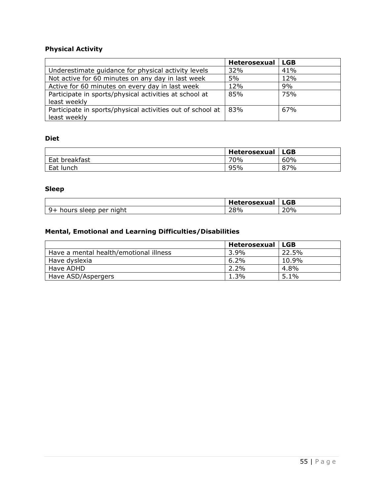### **Physical Activity**

|                                                                            | <b>Heterosexual</b> | <b>LGB</b> |
|----------------------------------------------------------------------------|---------------------|------------|
| Underestimate guidance for physical activity levels                        | 32%                 | 41%        |
| Not active for 60 minutes on any day in last week                          | 5%                  | 12%        |
| Active for 60 minutes on every day in last week                            | 12%                 | 9%         |
| Participate in sports/physical activities at school at<br>least weekly     | 85%                 | 75%        |
| Participate in sports/physical activities out of school at<br>least weekly | 83%                 | 67%        |

### **Diet**

|               | Heterosexual | <b>LGB</b> |
|---------------|--------------|------------|
| Eat breakfast | 70%          | 60%        |
| Eat lunch     | 95%          | 87%        |

### **Sleep**

|                                      | <b>Heterosexual</b> | LGB |
|--------------------------------------|---------------------|-----|
| 9+<br>night<br>per<br>hours<br>sleep | ?8%<br>້            | 20% |

### **Mental, Emotional and Learning Difficulties/Disabilities**

|                                        | Heterosexual | <b>LGB</b> |
|----------------------------------------|--------------|------------|
| Have a mental health/emotional illness | 3.9%         | 22.5%      |
| Have dyslexia                          | $6.2\%$      | 10.9%      |
| Have ADHD                              | 2.2%         | 4.8%       |
| Have ASD/Aspergers                     | 1.3%         | $5.1\%$    |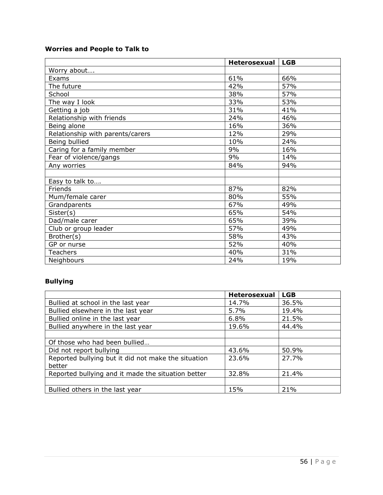### **Worries and People to Talk to**

|                                  | Heterosexual | <b>LGB</b> |
|----------------------------------|--------------|------------|
| Worry about                      |              |            |
| Exams                            | 61%          | 66%        |
| The future                       | 42%          | 57%        |
| School                           | 38%          | 57%        |
| The way I look                   | 33%          | 53%        |
| Getting a job                    | 31%          | 41%        |
| Relationship with friends        | 24%          | 46%        |
| Being alone                      | 16%          | 36%        |
| Relationship with parents/carers | 12%          | 29%        |
| Being bullied                    | 10%          | 24%        |
| Caring for a family member       | 9%           | 16%        |
| Fear of violence/gangs           | 9%           | 14%        |
| Any worries                      | 84%          | 94%        |
|                                  |              |            |
| Easy to talk to                  |              |            |
| Friends                          | 87%          | 82%        |
| Mum/female carer                 | 80%          | 55%        |
| Grandparents                     | 67%          | 49%        |
| Sister(s)                        | 65%          | 54%        |
| Dad/male carer                   | 65%          | 39%        |
| Club or group leader             | 57%          | 49%        |
| Brother(s)                       | 58%          | 43%        |
| GP or nurse                      | 52%          | 40%        |
| <b>Teachers</b>                  | 40%          | 31%        |
| Neighbours                       | 24%          | 19%        |

# **Bullying**

|                                                     | Heterosexual | <b>LGB</b> |
|-----------------------------------------------------|--------------|------------|
| Bullied at school in the last year                  | 14.7%        | 36.5%      |
| Bullied elsewhere in the last year                  | 5.7%         | 19.4%      |
| Bullied online in the last year                     | 6.8%         | 21.5%      |
| Bullied anywhere in the last year                   | 19.6%        | 44.4%      |
|                                                     |              |            |
| Of those who had been bullied                       |              |            |
| Did not report bullying                             | 43.6%        | 50.9%      |
| Reported bullying but it did not make the situation | 23.6%        | 27.7%      |
| better                                              |              |            |
| Reported bullying and it made the situation better  | 32.8%        | 21.4%      |
|                                                     |              |            |
| Bullied others in the last year                     | 15%          | 21%        |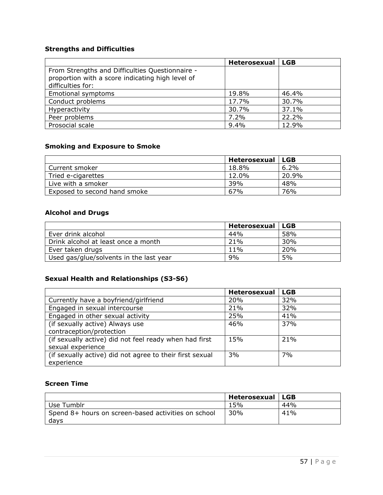### **Strengths and Difficulties**

|                                                                                                     | <b>Heterosexual</b> | l LGB |
|-----------------------------------------------------------------------------------------------------|---------------------|-------|
| From Strengths and Difficulties Questionnaire -<br>proportion with a score indicating high level of |                     |       |
| difficulties for:                                                                                   |                     |       |
| Emotional symptoms                                                                                  | 19.8%               | 46.4% |
| Conduct problems                                                                                    | 17.7%               | 30.7% |
| Hyperactivity                                                                                       | 30.7%               | 37.1% |
| Peer problems                                                                                       | 7.2%                | 22.2% |
| Prosocial scale                                                                                     | 9.4%                | 12.9% |

### **Smoking and Exposure to Smoke**

|                              | Heterosexual | <b>LGB</b> |
|------------------------------|--------------|------------|
| Current smoker               | 18.8%        | 6.2%       |
| Tried e-cigarettes           | 12.0%        | 20.9%      |
| Live with a smoker           | 39%          | 48%        |
| Exposed to second hand smoke | 67%          | 76%        |

### **Alcohol and Drugs**

|                                         | Heterosexual | <b>LGB</b> |
|-----------------------------------------|--------------|------------|
| Ever drink alcohol                      | 44%          | 58%        |
| Drink alcohol at least once a month     | 21%          | 30%        |
| Ever taken drugs                        | $11\%$       | 20%        |
| Used gas/glue/solvents in the last year | 9%           | 5%         |

### **Sexual Health and Relationships (S3-S6)**

|                                                          | Heterosexual | <b>LGB</b> |
|----------------------------------------------------------|--------------|------------|
| Currently have a boyfriend/girlfriend                    | <b>20%</b>   | 32%        |
| Engaged in sexual intercourse                            | 21%          | 32%        |
| Engaged in other sexual activity                         | 25%          | 41%        |
| (if sexually active) Always use                          | 46%          | 37%        |
| contraception/protection                                 |              |            |
| (if sexually active) did not feel ready when had first   | 15%          | 21%        |
| sexual experience                                        |              |            |
| (if sexually active) did not agree to their first sexual | 3%           | 7%         |
| experience                                               |              |            |

### **Screen Time**

|                                                             | Heterosexual | LGB |
|-------------------------------------------------------------|--------------|-----|
| Use Tumblr                                                  | 15%          | 44% |
| Spend 8+ hours on screen-based activities on school<br>days | 30%          | 41% |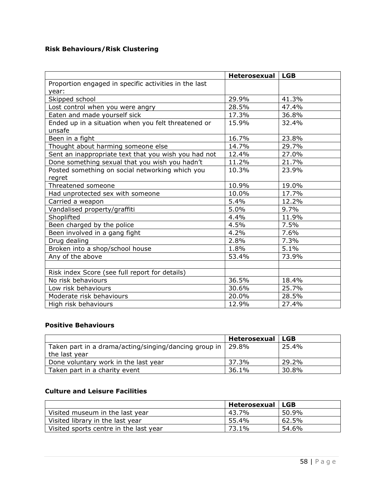### **Risk Behaviours/Risk Clustering**

|                                                       | Heterosexual | <b>LGB</b> |
|-------------------------------------------------------|--------------|------------|
| Proportion engaged in specific activities in the last |              |            |
| year:                                                 |              |            |
| Skipped school                                        | 29.9%        | 41.3%      |
| Lost control when you were angry                      | 28.5%        | 47.4%      |
| Eaten and made yourself sick                          | 17.3%        | 36.8%      |
| Ended up in a situation when you felt threatened or   | 15.9%        | 32.4%      |
| unsafe                                                |              |            |
| Been in a fight                                       | 16.7%        | 23.8%      |
| Thought about harming someone else                    | 14.7%        | 29.7%      |
| Sent an inappropriate text that you wish you had not  | 12.4%        | 27.0%      |
| Done something sexual that you wish you hadn't        | 11.2%        | 21.7%      |
| Posted something on social networking which you       | 10.3%        | 23.9%      |
| regret                                                |              |            |
| Threatened someone                                    | 10.9%        | 19.0%      |
| Had unprotected sex with someone                      | 10.0%        | 17.7%      |
| Carried a weapon                                      | 5.4%         | 12.2%      |
| Vandalised property/graffiti                          | 5.0%         | 9.7%       |
| Shoplifted                                            | 4.4%         | 11.9%      |
| Been charged by the police                            | 4.5%         | 7.5%       |
| Been involved in a gang fight                         | 4.2%         | 7.6%       |
| Drug dealing                                          | 2.8%         | 7.3%       |
| Broken into a shop/school house                       | 1.8%         | 5.1%       |
| Any of the above                                      | 53.4%        | 73.9%      |
|                                                       |              |            |
| Risk index Score (see full report for details)        |              |            |
| No risk behaviours                                    | 36.5%        | 18.4%      |
| Low risk behaviours                                   | 30.6%        | 25.7%      |
| Moderate risk behaviours                              | 20.0%        | 28.5%      |
| High risk behaviours                                  | 12.9%        | 27.4%      |

### **Positive Behaviours**

|                                                                          | Heterosexual | <b>LGB</b> |
|--------------------------------------------------------------------------|--------------|------------|
| Taken part in a drama/acting/singing/dancing group in  <br>the last year | 29.8%        | 25.4%      |
| Done voluntary work in the last year                                     | 37.3%        | 29.2%      |
| Taken part in a charity event                                            | 36.1%        | 30.8%      |

### **Culture and Leisure Facilities**

|                                        | Heterosexual | <b>LGB</b> |
|----------------------------------------|--------------|------------|
| Visited museum in the last year        | 43.7%        | 50.9%      |
| Visited library in the last year       | 55.4%        | 62.5%      |
| Visited sports centre in the last year | 73.1%        | 54.6%      |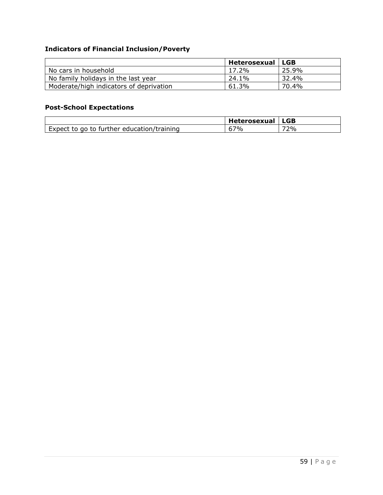### **Indicators of Financial Inclusion/Poverty**

|                                         | Heterosexual | <b>LGB</b> |
|-----------------------------------------|--------------|------------|
| No cars in household                    | $17.2\%$     | 25.9%      |
| No family holidays in the last year     | 24.1%        | 32.4%      |
| Moderate/high indicators of deprivation | 61.3%        | 70.4%      |

### **Post-School Expectations**

|                                            | Heterosexual | <b>LGB</b> |
|--------------------------------------------|--------------|------------|
| Expect to go to further education/training | $-7\%$       | 72%        |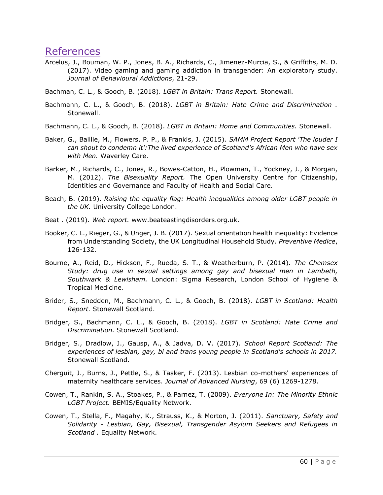# <span id="page-60-0"></span>References

- Arcelus, J., Bouman, W. P., Jones, B. A., Richards, C., Jimenez-Murcia, S., & Griffiths, M. D. (2017). Video gaming and gaming addiction in transgender: An exploratory study. *Journal of Behavioural Addictions*, 21-29.
- Bachman, C. L., & Gooch, B. (2018). *LGBT in Britain: Trans Report.* Stonewall.
- Bachmann, C. L., & Gooch, B. (2018). *LGBT in Britain: Hate Crime and Discrimination .* Stonewall.
- Bachmann, C. L., & Gooch, B. (2018). *LGBT in Britain: Home and Communities.* Stonewall.
- Baker, G., Baillie, M., Flowers, P. P., & Frankis, J. (2015). *SAMM Project Report 'The louder I can shout to condemn it':The lived experience of Scotland's African Men who have sex with Men.* Waverley Care.
- Barker, M., Richards, C., Jones, R., Bowes-Catton, H., Plowman, T., Yockney, J., & Morgan, M. (2012). *The Bisexuality Report.* The Open University Centre for Citizenship, Identities and Governance and Faculty of Health and Social Care.
- Beach, B. (2019). *Raising the equality flag: Health inequalities among older LGBT people in the UK.* University College London.
- Beat . (2019). *Web report.* www.beateastingdisorders.org.uk.
- Booker, C. L., Rieger, G., & Unger, J. B. (2017). Sexual orientation health inequality: Evidence from Understanding Society, the UK Longitudinal Household Study. *Preventive Medice*, 126-132.
- Bourne, A., Reid, D., Hickson, F., Rueda, S. T., & Weatherburn, P. (2014). *The Chemsex Study: drug use in sexual settings among gay and bisexual men in Lambeth, Southwark & Lewisham.* London: Sigma Research, London School of Hygiene & Tropical Medicine.
- Brider, S., Snedden, M., Bachmann, C. L., & Gooch, B. (2018). *LGBT in Scotland: Health Report.* Stonewall Scotland.
- Bridger, S., Bachmann, C. L., & Gooch, B. (2018). *LGBT in Scotland: Hate Crime and Discrimination.* Stonewall Scotland.
- Bridger, S., Dradlow, J., Gausp, A., & Jadva, D. V. (2017). *School Report Scotland: The experiences of lesbian, gay, bi and trans young people in Scotland's schools in 2017.* Stonewall Scotland.
- Cherguit, J., Burns, J., Pettle, S., & Tasker, F. (2013). Lesbian co-mothers' experiences of maternity healthcare services. *Journal of Advanced Nursing*, 69 (6) 1269-1278.
- Cowen, T., Rankin, S. A., Stoakes, P., & Parnez, T. (2009). *Everyone In: The Minority Ethnic LGBT Project.* BEMIS/Equality Network.
- Cowen, T., Stella, F., Magahy, K., Strauss, K., & Morton, J. (2011). *Sanctuary, Safety and Solidarity - Lesbian, Gay, Bisexual, Transgender Asylum Seekers and Refugees in Scotland .* Equality Network.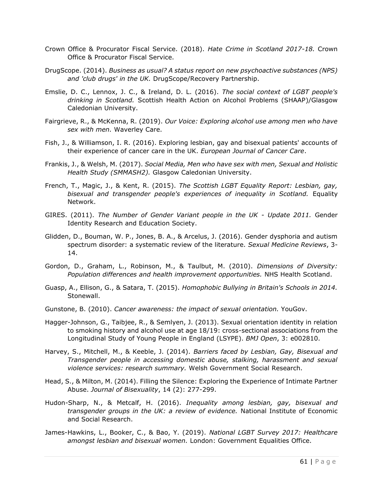- Crown Office & Procurator Fiscal Service. (2018). *Hate Crime in Scotland 2017-18.* Crown Office & Procurator Fiscal Service.
- DrugScope. (2014). *Business as usual? A status report on new psychoactive substances (NPS) and 'club drugs' in the UK.* DrugScope/Recovery Partnership.
- Emslie, D. C., Lennox, J. C., & Ireland, D. L. (2016). *The social context of LGBT people's drinking in Scotland.* Scottish Health Action on Alcohol Problems (SHAAP)/Glasgow Caledonian University.
- Fairgrieve, R., & McKenna, R. (2019). *Our Voice: Exploring alcohol use among men who have sex with men.* Waverley Care.
- Fish, J., & Williamson, I. R. (2016). Exploring lesbian, gay and bisexual patients' accounts of their experience of cancer care in the UK. *European Journal of Cancer Care*.
- Frankis, J., & Welsh, M. (2017). *Social Media, Men who have sex with men, Sexual and Holistic Health Study (SMMASH2).* Glasgow Caledonian University.
- French, T., Magic, J., & Kent, R. (2015). *The Scottish LGBT Equality Report: Lesbian, gay, bisexual and transgender people's experiences of inequality in Scotland.* Equality Network.
- GIRES. (2011). *The Number of Gender Variant people in the UK - Update 2011.* Gender Identity Research and Education Society.
- Glidden, D., Bouman, W. P., Jones, B. A., & Arcelus, J. (2016). Gender dysphoria and autism spectrum disorder: a systematic review of the literature. *Sexual Medicine Reviews*, 3- 14.
- Gordon, D., Graham, L., Robinson, M., & Taulbut, M. (2010). *Dimensions of Diversity: Population differences and health improvement opportunities.* NHS Health Scotland.
- Guasp, A., Ellison, G., & Satara, T. (2015). *Homophobic Bullying in Britain's Schools in 2014.* Stonewall.
- Gunstone, B. (2010). *Cancer awareness: the impact of sexual orientation.* YouGov.
- Hagger-Johnson, G., Taibjee, R., & Semlyen, J. (2013). Sexual orientation identity in relation to smoking history and alcohol use at age 18/19: cross-sectional associations from the Longitudinal Study of Young People in England (LSYPE). *BMJ Open*, 3: e002810.
- Harvey, S., Mitchell, M., & Keeble, J. (2014). *Barriers faced by Lesbian, Gay, Bisexual and Transgender people in accessing domestic abuse, stalking, harassment and sexual violence services: research summary.* Welsh Government Social Research.
- Head, S., & Milton, M. (2014). Filling the Silence: Exploring the Experience of Intimate Partner Abuse. *Journal of Bisexuality*, 14 (2): 277-299.
- Hudon-Sharp, N., & Metcalf, H. (2016). *Inequality among lesbian, gay, bisexual and transgender groups in the UK: a review of evidence.* National Institute of Economic and Social Research.
- James-Hawkins, L., Booker, C., & Bao, Y. (2019). *National LGBT Survey 2017: Healthcare amongst lesbian and bisexual women.* London: Government Equalities Office.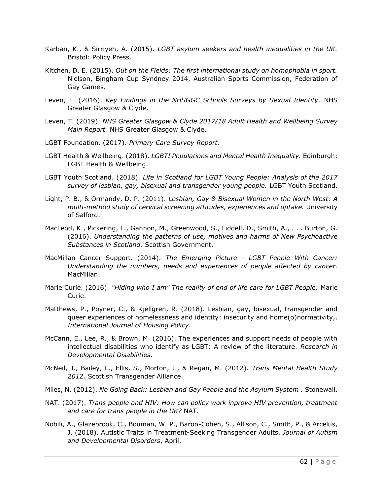- Karban, K., & Sirriyeh, A. (2015). *LGBT asylum seekers and health inequalities in the UK.* Bristol: Policy Press.
- Kitchen, D. E. (2015). *Out on the Fields: The first international study on homophobia in sport.* Nielson, Bingham Cup Syndney 2014, Australian Sports Commission, Federation of Gay Games.
- Leven, T. (2016). *Key Findings in the NHSGGC Schools Surveys by Sexual Identity.* NHS Greater Glasgow & Clyde.
- Leven, T. (2019). *NHS Greater Glasgow & Clyde 2017/18 Adult Health and Wellbeing Survey Main Report.* NHS Greater Glasgow & Clyde.
- LGBT Foundation. (2017). *Primary Care Survey Report.*
- LGBT Health & Wellbeing. (2018). *LGBTI Populations and Mental Health Inequality.* Edinburgh: LGBT Health & Wellbeing.
- LGBT Youth Scotland. (2018). *Life in Scotland for LGBT Young People: Analysis of the 2017 survey of lesbian, gay, bisexual and transgender young people.* LGBT Youth Scotland.
- Light, P. B., & Ormandy, D. P. (2011). *Lesbian, Gay & Bisexual Women in the North West: A multi-method study of cervical screening attitudes, experiences and uptake.* University of Salford.
- MacLeod, K., Pickering, L., Gannon, M., Greenwood, S., Liddell, D., Smith, A., . . . Burton, G. (2016). *Understanding the patterns of use, motives and harms of New Psychoactive Substances in Scotland.* Scottish Government.
- MacMillan Cancer Support. (2014). *The Emerging Picture - LGBT People With Cancer: Understanding the numbers, needs and experiences of people affected by cancer.* MacMillan.
- Marie Curie. (2016). *"Hiding who I am" The reality of end of life care for LGBT People.* Marie Curie.
- Matthews, P., Poyner, C., & Kjellgren, R. (2018). Lesbian, gay, bisexual, transgender and queer experiences of homelessness and identity: insecurity and home(o)normativity,. *International Journal of Housing Policy*.
- McCann, E., Lee, R., & Brown, M. (2016). The experiences and support needs of people with intellectual disabilities who identify as LGBT: A review of the literature. *Research in Developmental Disabilities*.
- McNeil, J., Bailey, L., Ellis, S., Morton, J., & Regan, M. (2012). *Trans Mental Health Study 2012.* Scottish Transgender Alliance.
- Miles, N. (2012). *No Going Back: Lesbian and Gay People and the Asylum System .* Stonewall.
- NAT. (2017). *Trans people and HIV: How can policy work inprove HIV prevention, treatment and care for trans people in the UK?* NAT.
- Nobili, A., Glazebrook, C., Bouman, W. P., Baron-Cohen, S., Allison, C., Smith, P., & Arcelus, J. (2018). Autistic Traits in Treatment-Seeking Transgender Adults. *Journal of Autism and Developmental Disorders*, April.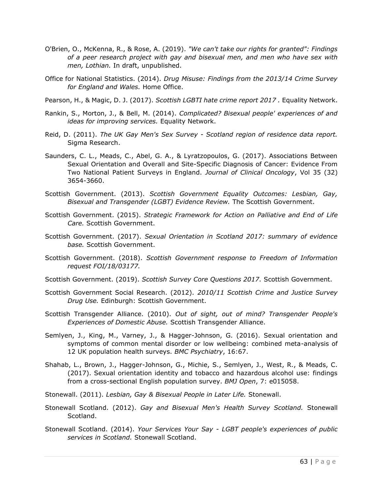- O'Brien, O., McKenna, R., & Rose, A. (2019). *"We can't take our rights for granted": Findings of a peer research project with gay and bisexual men, and men who have sex with men, Lothian.* In draft, unpublished.
- Office for National Statistics. (2014). *Drug Misuse: Findings from the 2013/14 Crime Survey for England and Wales.* Home Office.
- Pearson, H., & Magic, D. J. (2017). *Scottish LGBTI hate crime report 2017 .* Equality Network.
- Rankin, S., Morton, J., & Bell, M. (2014). *Complicated? Bisexual people' experiences of and ideas for improving services.* Equality Network.
- Reid, D. (2011). *The UK Gay Men's Sex Survey - Scotland region of residence data report.* Sigma Research.
- Saunders, C. L., Meads, C., Abel, G. A., & Lyratzopoulos, G. (2017). Associations Between Sexual Orientation and Overall and Site-Specific Diagnosis of Cancer: Evidence From Two National Patient Surveys in England. *Journal of Clinical Oncology*, Vol 35 (32) 3654-3660.
- Scottish Government. (2013). *Scottish Government Equality Outcomes: Lesbian, Gay, Bisexual and Transgender (LGBT) Evidence Review.* The Scottish Government.
- Scottish Government. (2015). *Strategic Framework for Action on Palliative and End of Life Care.* Scottish Government.
- Scottish Government. (2017). *Sexual Orientation in Scotland 2017: summary of evidence base.* Scottish Government.
- Scottish Government. (2018). *Scottish Government response to Freedom of Information request FOI/18/03177.*
- Scottish Government. (2019). *Scottish Survey Core Questions 2017.* Scottish Government.
- Scottish Government Social Research. (2012). *2010/11 Scottish Crime and Justice Survey Drug Use.* Edinburgh: Scottish Government.
- Scottish Transgender Alliance. (2010). *Out of sight, out of mind? Transgender People's Experiences of Domestic Abuse.* Scottish Transgender Alliance.
- Semlyen, J., King, M., Varney, J., & Hagger-Johnson, G. (2016). Sexual orientation and symptoms of common mental disorder or low wellbeing: combined meta-analysis of 12 UK population health surveys. *BMC Psychiatry*, 16:67.
- Shahab, L., Brown, J., Hagger-Johnson, G., Michie, S., Semlyen, J., West, R., & Meads, C. (2017). Sexual orientation identity and tobacco and hazardous alcohol use: findings from a cross-sectional English population survey. *BMJ Open*, 7: e015058.
- Stonewall. (2011). *Lesbian, Gay & Bisexual People in Later Life.* Stonewall.
- Stonewall Scotland. (2012). *Gay and Bisexual Men's Health Survey Scotland.* Stonewall Scotland.
- Stonewall Scotland. (2014). *Your Services Your Say - LGBT people's experiences of public services in Scotland.* Stonewall Scotland.